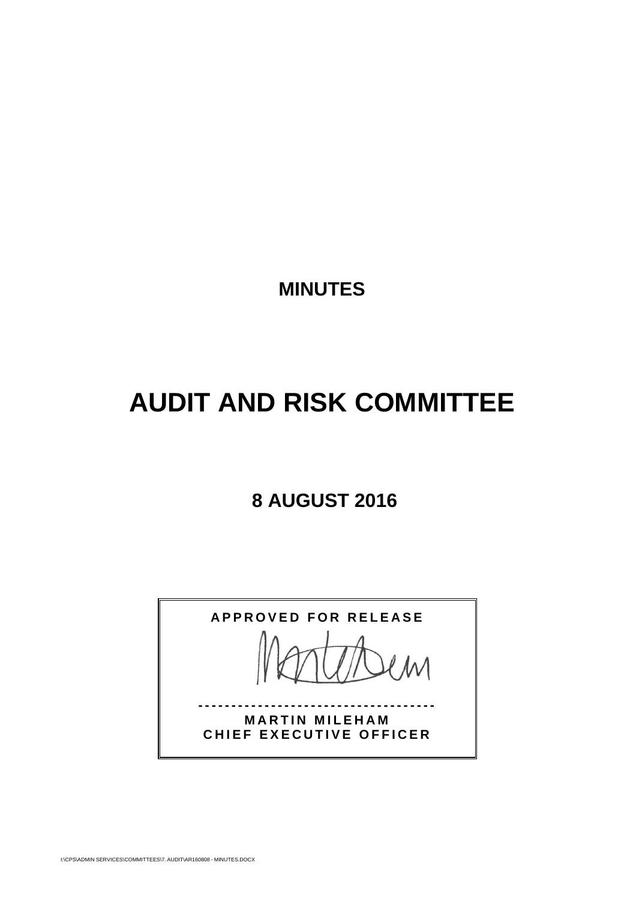**MINUTES** 

# **AUDIT AND RISK COMMITTEE**

### **8 AUGUST 2016**

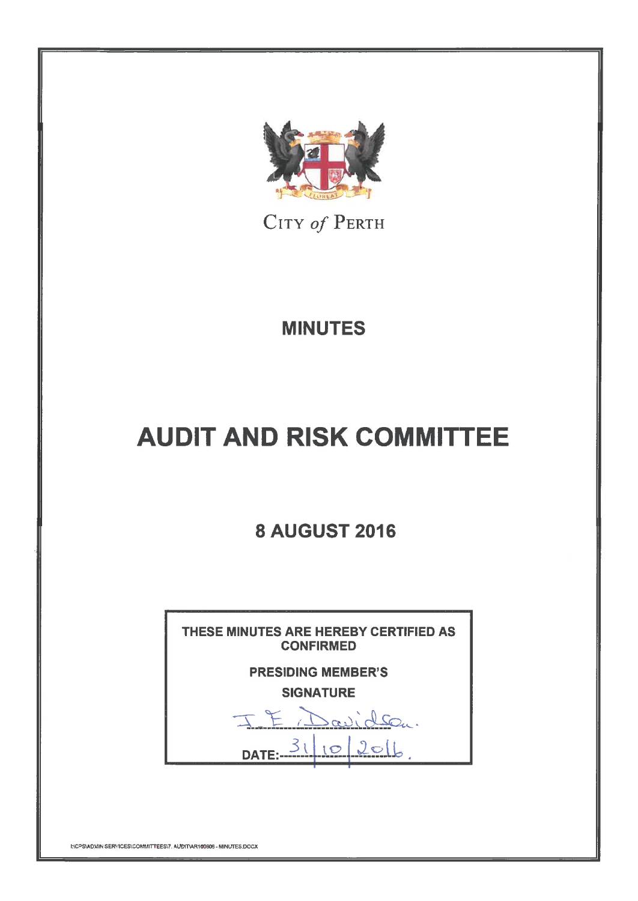

CITY of PERTH

## **MINUTES**

# **AUDIT AND RISK COMMITTEE**

## **8 AUGUST 2016**



INCPS\ADMIN SERVICES\COMMITTEES\7. AUDIT\AR160808 - MINUTES.DOCX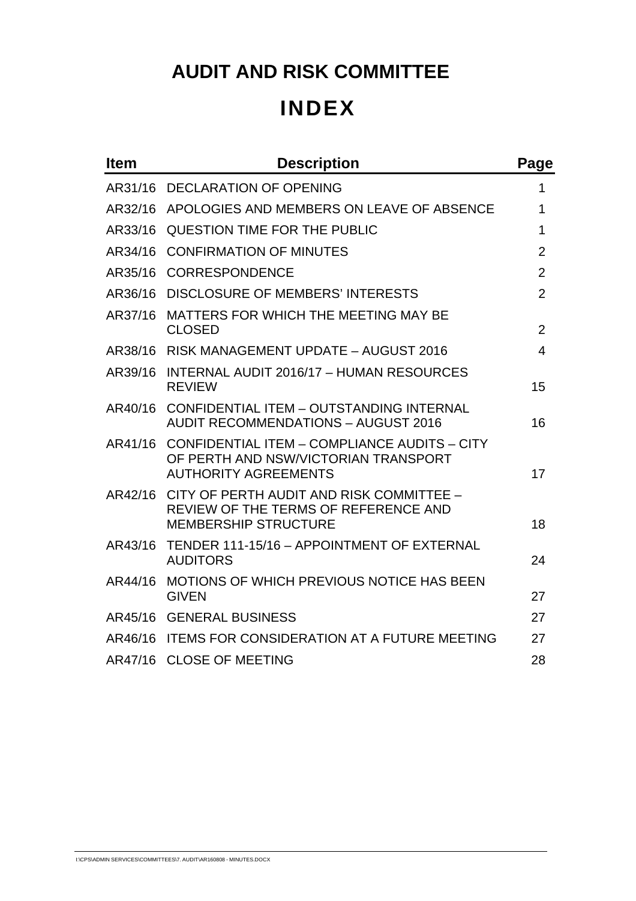## **AUDIT AND RISK COMMITTEE INDEX**

| <b>Item</b> | <b>Description</b>                                                                                                  | Page           |
|-------------|---------------------------------------------------------------------------------------------------------------------|----------------|
| AR31/16     | <b>DECLARATION OF OPENING</b>                                                                                       | 1              |
| AR32/16     | APOLOGIES AND MEMBERS ON LEAVE OF ABSENCE                                                                           | 1              |
| AR33/16     | QUESTION TIME FOR THE PUBLIC                                                                                        | 1              |
| AR34/16     | <b>CONFIRMATION OF MINUTES</b>                                                                                      | $\overline{2}$ |
| AR35/16     | <b>CORRESPONDENCE</b>                                                                                               | $\overline{2}$ |
| AR36/16     | <b>DISCLOSURE OF MEMBERS' INTERESTS</b>                                                                             | $\overline{2}$ |
| AR37/16     | MATTERS FOR WHICH THE MEETING MAY BE<br><b>CLOSED</b>                                                               | $\overline{2}$ |
|             | AR38/16 RISK MANAGEMENT UPDATE - AUGUST 2016                                                                        | 4              |
| AR39/16     | INTERNAL AUDIT 2016/17 - HUMAN RESOURCES<br><b>REVIEW</b>                                                           | 15             |
| AR40/16     | CONFIDENTIAL ITEM - OUTSTANDING INTERNAL<br><b>AUDIT RECOMMENDATIONS - AUGUST 2016</b>                              | 16             |
| AR41/16     | CONFIDENTIAL ITEM - COMPLIANCE AUDITS - CITY<br>OF PERTH AND NSW/VICTORIAN TRANSPORT<br><b>AUTHORITY AGREEMENTS</b> | 17             |
| AR42/16     | CITY OF PERTH AUDIT AND RISK COMMITTEE -<br>REVIEW OF THE TERMS OF REFERENCE AND<br><b>MEMBERSHIP STRUCTURE</b>     | 18             |
| AR43/16     | TENDER 111-15/16 - APPOINTMENT OF EXTERNAL<br><b>AUDITORS</b>                                                       | 24             |
| AR44/16     | <b>MOTIONS OF WHICH PREVIOUS NOTICE HAS BEEN</b><br><b>GIVEN</b>                                                    | 27             |
| AR45/16     | <b>GENERAL BUSINESS</b>                                                                                             | 27             |
| AR46/16     | <b>ITEMS FOR CONSIDERATION AT A FUTURE MEETING</b>                                                                  | 27             |
| AR47/16     | <b>CLOSE OF MEETING</b>                                                                                             | 28             |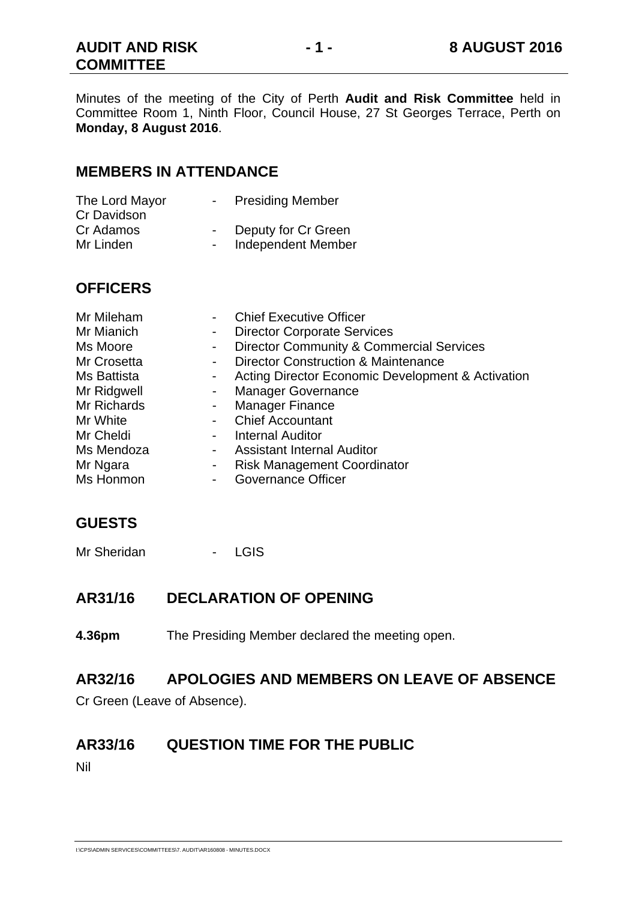Minutes of the meeting of the City of Perth **Audit and Risk Committee** held in Committee Room 1, Ninth Floor, Council House, 27 St Georges Terrace, Perth on **Monday, 8 August 2016**.

#### **MEMBERS IN ATTENDANCE**

| The Lord Mayor | <b>Presiding Member</b> |
|----------------|-------------------------|
| Cr Davidson    |                         |
| Cr Adamos      | Deputy for Cr Green     |
| Mr Linden      | Independent Member      |

#### **OFFICERS**

| Mr Mileham  |                | <b>Chief Executive Officer</b>                      |
|-------------|----------------|-----------------------------------------------------|
| Mr Mianich  | ۰              | <b>Director Corporate Services</b>                  |
| Ms Moore    | $\blacksquare$ | <b>Director Community &amp; Commercial Services</b> |
| Mr Crosetta |                | <b>Director Construction &amp; Maintenance</b>      |
| Ms Battista | $\sim$         | Acting Director Economic Development & Activation   |
| Mr Ridgwell |                | <b>Manager Governance</b>                           |
| Mr Richards |                | <b>Manager Finance</b>                              |
| Mr White    |                | <b>Chief Accountant</b>                             |
| Mr Cheldi   |                | <b>Internal Auditor</b>                             |
| Ms Mendoza  | $\sim$         | <b>Assistant Internal Auditor</b>                   |
| Mr Ngara    | ٠              | <b>Risk Management Coordinator</b>                  |
| Ms Honmon   |                | <b>Governance Officer</b>                           |

#### **GUESTS**

Mr Sheridan - LGIS

#### **AR31/16 DECLARATION OF OPENING**

**4.36pm** The Presiding Member declared the meeting open.

#### **AR32/16 APOLOGIES AND MEMBERS ON LEAVE OF ABSENCE**

Cr Green (Leave of Absence).

#### **AR33/16 QUESTION TIME FOR THE PUBLIC**

Nil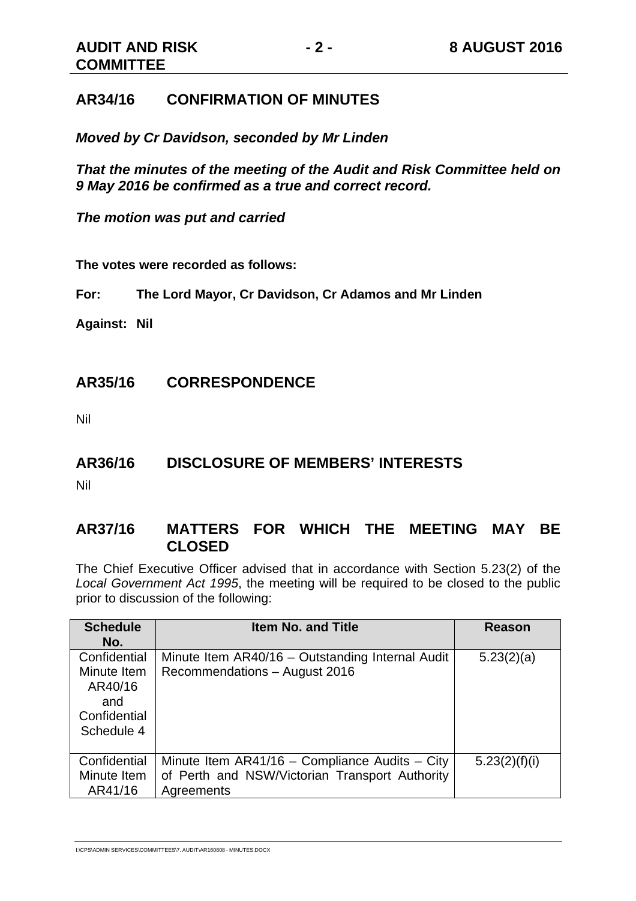#### **AR34/16 CONFIRMATION OF MINUTES**

*Moved by Cr Davidson, seconded by Mr Linden* 

*That the minutes of the meeting of the Audit and Risk Committee held on 9 May 2016 be confirmed as a true and correct record.* 

*The motion was put and carried* 

**The votes were recorded as follows:** 

**For: The Lord Mayor, Cr Davidson, Cr Adamos and Mr Linden** 

**Against: Nil** 

#### **AR35/16 CORRESPONDENCE**

Nil

#### **AR36/16 DISCLOSURE OF MEMBERS' INTERESTS**

Nil

#### **AR37/16 MATTERS FOR WHICH THE MEETING MAY BE CLOSED**

The Chief Executive Officer advised that in accordance with Section 5.23(2) of the *Local Government Act 1995*, the meeting will be required to be closed to the public prior to discussion of the following:

| <b>Schedule</b><br>No.                                                      | <b>Item No. and Title</b>                                                                                        | Reason        |
|-----------------------------------------------------------------------------|------------------------------------------------------------------------------------------------------------------|---------------|
| Confidential<br>Minute Item<br>AR40/16<br>and<br>Confidential<br>Schedule 4 | Minute Item AR40/16 - Outstanding Internal Audit<br>Recommendations - August 2016                                | 5.23(2)(a)    |
| Confidential<br>Minute Item<br>AR41/16                                      | Minute Item $AR41/16$ – Compliance Audits – City<br>of Perth and NSW/Victorian Transport Authority<br>Agreements | 5.23(2)(f)(i) |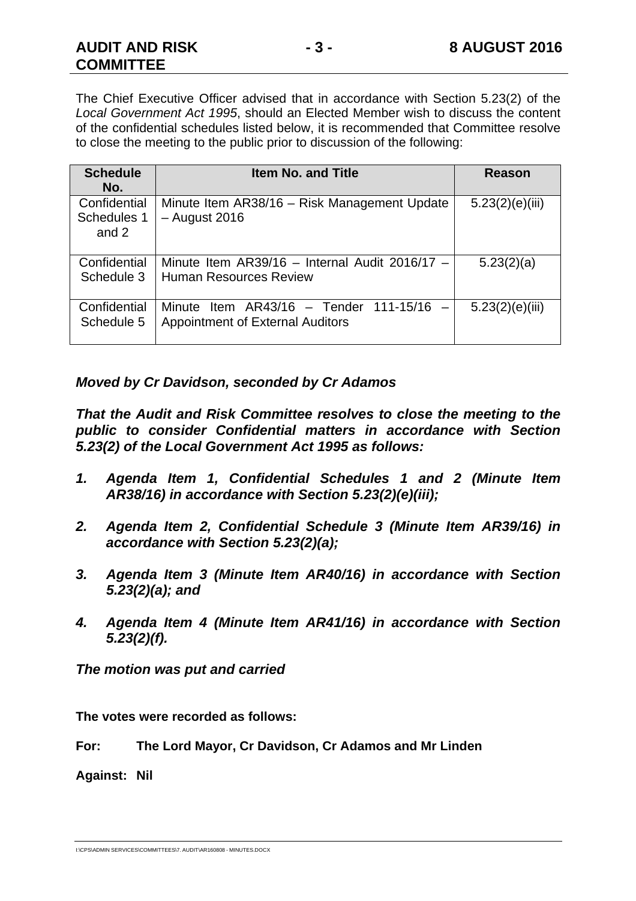The Chief Executive Officer advised that in accordance with Section 5.23(2) of the *Local Government Act 1995*, should an Elected Member wish to discuss the content of the confidential schedules listed below, it is recommended that Committee resolve to close the meeting to the public prior to discussion of the following:

| <b>Schedule</b><br>No.               | <b>Item No. and Title</b>                                                             | <b>Reason</b>   |
|--------------------------------------|---------------------------------------------------------------------------------------|-----------------|
| Confidential<br>Schedules 1<br>and 2 | Minute Item AR38/16 - Risk Management Update<br>$-$ August 2016                       | 5.23(2)(e)(iii) |
| Confidential<br>Schedule 3           | Minute Item $AR39/16 - Internal$ Audit 2016/17 -<br><b>Human Resources Review</b>     | 5.23(2)(a)      |
| Confidential<br>Schedule 5           | Minute Item $AR43/16$ - Tender 111-15/16 -<br><b>Appointment of External Auditors</b> | 5.23(2)(e)(iii) |

*Moved by Cr Davidson, seconded by Cr Adamos* 

*That the Audit and Risk Committee resolves to close the meeting to the public to consider Confidential matters in accordance with Section 5.23(2) of the Local Government Act 1995 as follows:* 

- *1. Agenda Item 1, Confidential Schedules 1 and 2 (Minute Item AR38/16) in accordance with Section 5.23(2)(e)(iii);*
- *2. Agenda Item 2, Confidential Schedule 3 (Minute Item AR39/16) in accordance with Section 5.23(2)(a);*
- *3. Agenda Item 3 (Minute Item AR40/16) in accordance with Section 5.23(2)(a); and*
- *4. Agenda Item 4 (Minute Item AR41/16) in accordance with Section 5.23(2)(f).*

*The motion was put and carried* 

**The votes were recorded as follows:** 

**For: The Lord Mayor, Cr Davidson, Cr Adamos and Mr Linden** 

**Against: Nil** 

I:\CPS\ADMIN SERVICES\COMMITTEES\7. AUDIT\AR160808 - MINUTES.DOCX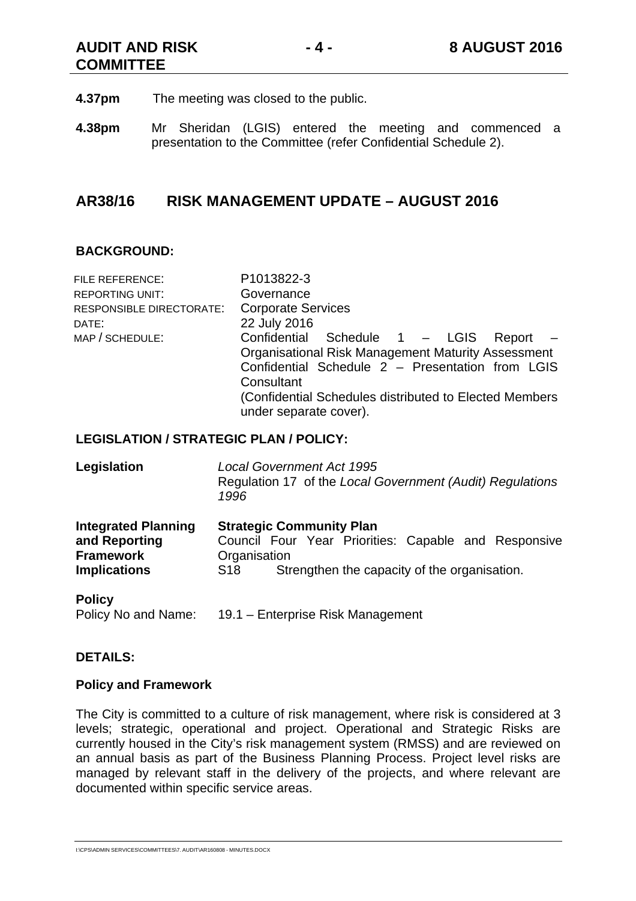**AUDIT AND RISK COMMITTEE** 

- **4.37pm** The meeting was closed to the public.
- **4.38pm** Mr Sheridan (LGIS) entered the meeting and commenced a presentation to the Committee (refer Confidential Schedule 2).

#### **AR38/16 RISK MANAGEMENT UPDATE – AUGUST 2016**

#### **BACKGROUND:**

| FILE REFERENCE:          | P1013822-3                                                |
|--------------------------|-----------------------------------------------------------|
| <b>REPORTING UNIT:</b>   | Governance                                                |
| RESPONSIBLE DIRECTORATE: | <b>Corporate Services</b>                                 |
| DATE:                    | 22 July 2016                                              |
| MAP / SCHEDULE:          | Confidential Schedule 1 - LGIS<br>$Report -$              |
|                          | <b>Organisational Risk Management Maturity Assessment</b> |
|                          | Confidential Schedule 2 - Presentation from LGIS          |
|                          | Consultant                                                |
|                          | (Confidential Schedules distributed to Elected Members)   |
|                          | under separate cover).                                    |
|                          |                                                           |

#### **LEGISLATION / STRATEGIC PLAN / POLICY:**

| Legislation                                                     | <b>Local Government Act 1995</b><br>Regulation 17 of the Local Government (Audit) Regulations<br>1996   |  |
|-----------------------------------------------------------------|---------------------------------------------------------------------------------------------------------|--|
| <b>Integrated Planning</b><br>and Reporting<br><b>Framework</b> | <b>Strategic Community Plan</b><br>Council Four Year Priorities: Capable and Responsive<br>Organisation |  |
| <b>Implications</b>                                             | Strengthen the capacity of the organisation.<br>S <sub>18</sub>                                         |  |
| <b>Policy</b>                                                   |                                                                                                         |  |

Policy No and Name: 19.1 – Enterprise Risk Management

#### **DETAILS:**

#### **Policy and Framework**

The City is committed to a culture of risk management, where risk is considered at 3 levels; strategic, operational and project. Operational and Strategic Risks are currently housed in the City's risk management system (RMSS) and are reviewed on an annual basis as part of the Business Planning Process. Project level risks are managed by relevant staff in the delivery of the projects, and where relevant are documented within specific service areas.

I:\CPS\ADMIN SERVICES\COMMITTEES\7. AUDIT\AR160808 - MINUTES.DOCX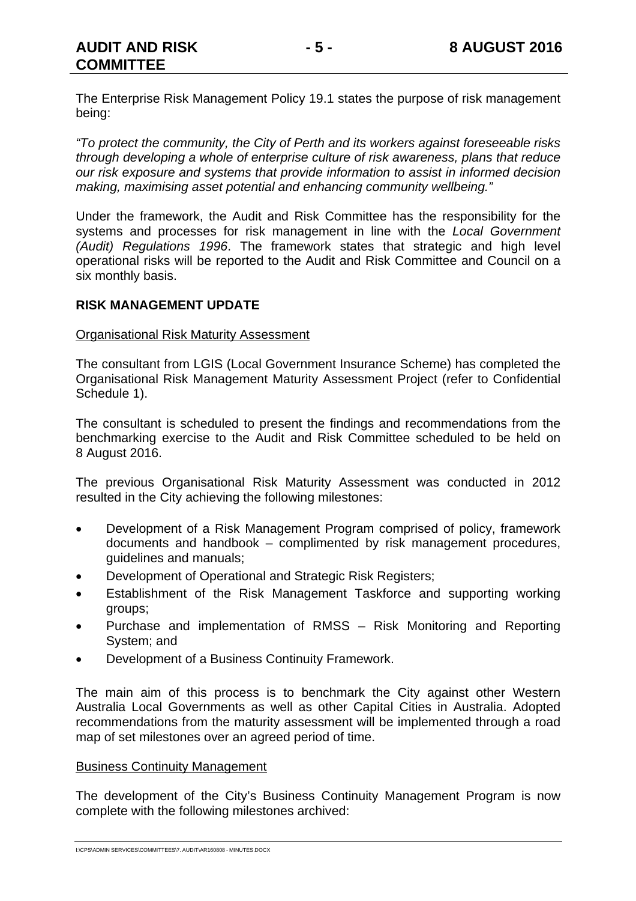The Enterprise Risk Management Policy 19.1 states the purpose of risk management being:

*"To protect the community, the City of Perth and its workers against foreseeable risks through developing a whole of enterprise culture of risk awareness, plans that reduce our risk exposure and systems that provide information to assist in informed decision making, maximising asset potential and enhancing community wellbeing."* 

Under the framework, the Audit and Risk Committee has the responsibility for the systems and processes for risk management in line with the *Local Government (Audit) Regulations 1996*. The framework states that strategic and high level operational risks will be reported to the Audit and Risk Committee and Council on a six monthly basis.

#### **RISK MANAGEMENT UPDATE**

#### Organisational Risk Maturity Assessment

The consultant from LGIS (Local Government Insurance Scheme) has completed the Organisational Risk Management Maturity Assessment Project (refer to Confidential Schedule 1).

The consultant is scheduled to present the findings and recommendations from the benchmarking exercise to the Audit and Risk Committee scheduled to be held on 8 August 2016.

The previous Organisational Risk Maturity Assessment was conducted in 2012 resulted in the City achieving the following milestones:

- Development of a Risk Management Program comprised of policy, framework documents and handbook – complimented by risk management procedures, guidelines and manuals;
- Development of Operational and Strategic Risk Registers;
- Establishment of the Risk Management Taskforce and supporting working groups;
- Purchase and implementation of RMSS Risk Monitoring and Reporting System; and
- Development of a Business Continuity Framework.

The main aim of this process is to benchmark the City against other Western Australia Local Governments as well as other Capital Cities in Australia. Adopted recommendations from the maturity assessment will be implemented through a road map of set milestones over an agreed period of time.

#### Business Continuity Management

The development of the City's Business Continuity Management Program is now complete with the following milestones archived: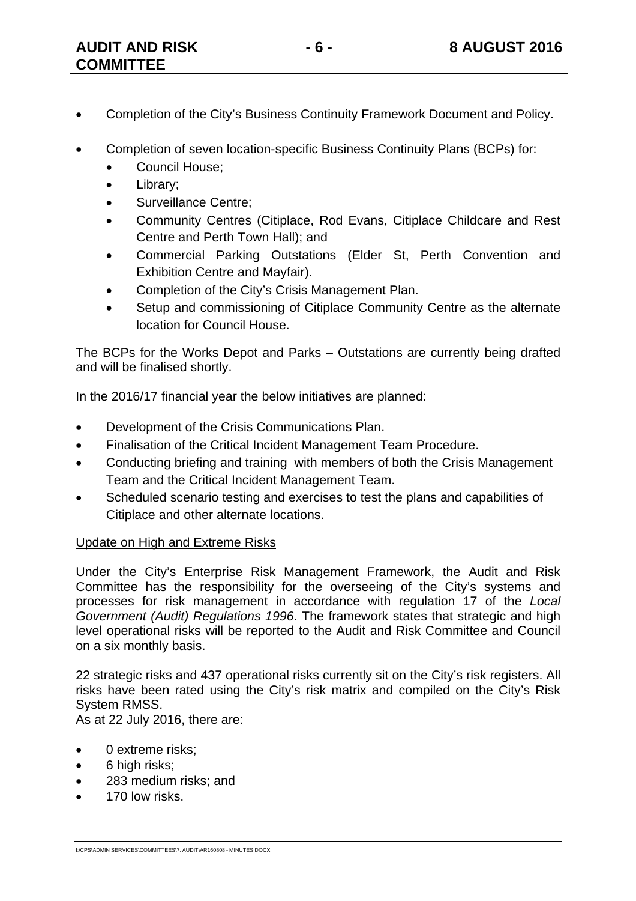- Completion of the City's Business Continuity Framework Document and Policy.
- Completion of seven location-specific Business Continuity Plans (BCPs) for:
	- Council House;
	- Library;
	- Surveillance Centre;
	- Community Centres (Citiplace, Rod Evans, Citiplace Childcare and Rest Centre and Perth Town Hall); and
	- Commercial Parking Outstations (Elder St, Perth Convention and Exhibition Centre and Mayfair).
	- Completion of the City's Crisis Management Plan.
	- Setup and commissioning of Citiplace Community Centre as the alternate location for Council House.

The BCPs for the Works Depot and Parks – Outstations are currently being drafted and will be finalised shortly.

In the 2016/17 financial year the below initiatives are planned:

- Development of the Crisis Communications Plan.
- Finalisation of the Critical Incident Management Team Procedure.
- Conducting briefing and training with members of both the Crisis Management Team and the Critical Incident Management Team.
- Scheduled scenario testing and exercises to test the plans and capabilities of Citiplace and other alternate locations.

#### Update on High and Extreme Risks

Under the City's Enterprise Risk Management Framework, the Audit and Risk Committee has the responsibility for the overseeing of the City's systems and processes for risk management in accordance with regulation 17 of the *Local Government (Audit) Regulations 1996*. The framework states that strategic and high level operational risks will be reported to the Audit and Risk Committee and Council on a six monthly basis.

22 strategic risks and 437 operational risks currently sit on the City's risk registers. All risks have been rated using the City's risk matrix and compiled on the City's Risk System RMSS.

As at 22 July 2016, there are:

- 0 extreme risks:
- 6 high risks;
- 283 medium risks; and
- 170 low risks.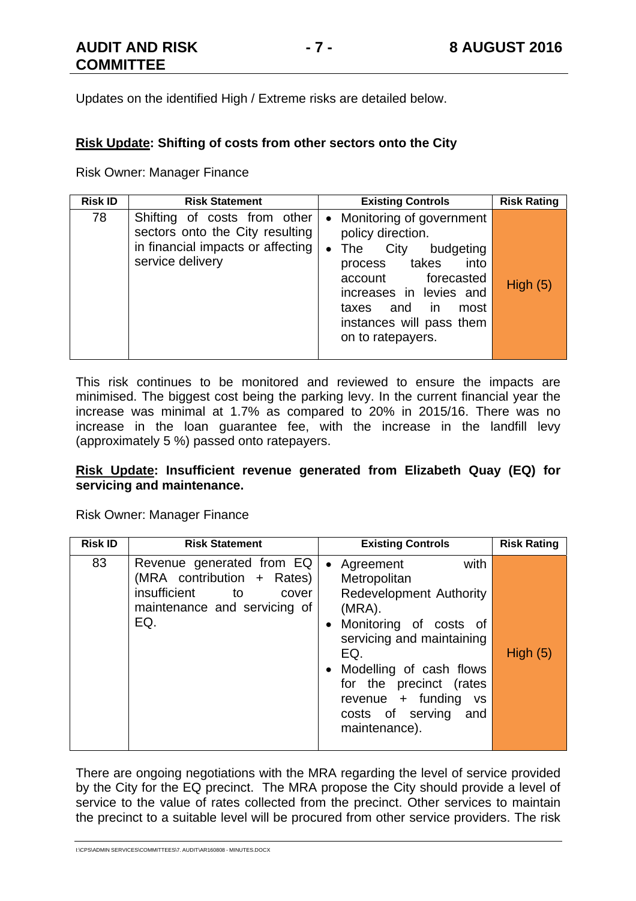Updates on the identified High / Extreme risks are detailed below.

#### **Risk Update: Shifting of costs from other sectors onto the City**

Risk Owner: Manager Finance

| <b>Risk ID</b> | <b>Risk Statement</b>                                                                                                    | <b>Existing Controls</b>                                                                                                                                                                                                                           | <b>Risk Rating</b> |
|----------------|--------------------------------------------------------------------------------------------------------------------------|----------------------------------------------------------------------------------------------------------------------------------------------------------------------------------------------------------------------------------------------------|--------------------|
| 78             | Shifting of costs from other<br>sectors onto the City resulting<br>in financial impacts or affecting<br>service delivery | Monitoring of government<br>$\bullet$<br>policy direction.<br>• The City<br>budgeting<br>into<br>process takes<br>forecasted<br>account<br>increases in levies and<br>and<br>in.<br>taxes<br>most<br>instances will pass them<br>on to ratepayers. | High(5)            |

This risk continues to be monitored and reviewed to ensure the impacts are minimised. The biggest cost being the parking levy. In the current financial year the increase was minimal at 1.7% as compared to 20% in 2015/16. There was no increase in the loan guarantee fee, with the increase in the landfill levy (approximately 5 %) passed onto ratepayers.

#### **Risk Update: Insufficient revenue generated from Elizabeth Quay (EQ) for servicing and maintenance.**

Risk Owner: Manager Finance

| <b>Risk ID</b> | <b>Risk Statement</b>                                                                                                                | <b>Existing Controls</b>                                                                                                                                                                                                                                                                     | <b>Risk Rating</b> |
|----------------|--------------------------------------------------------------------------------------------------------------------------------------|----------------------------------------------------------------------------------------------------------------------------------------------------------------------------------------------------------------------------------------------------------------------------------------------|--------------------|
| 83             | Revenue generated from EQ<br>(MRA contribution + Rates)<br>insufficient<br><b>to</b><br>cover<br>maintenance and servicing of<br>EQ. | with<br>Agreement<br>$\bullet$<br>Metropolitan<br><b>Redevelopment Authority</b><br>(MRA).<br>Monitoring of costs of<br>servicing and maintaining<br>EQ.<br>Modelling of cash flows<br>for the precinct (rates<br>revenue + funding<br><b>VS</b><br>costs of serving<br>and<br>maintenance). | High $(5)$         |

There are ongoing negotiations with the MRA regarding the level of service provided by the City for the EQ precinct. The MRA propose the City should provide a level of service to the value of rates collected from the precinct. Other services to maintain the precinct to a suitable level will be procured from other service providers. The risk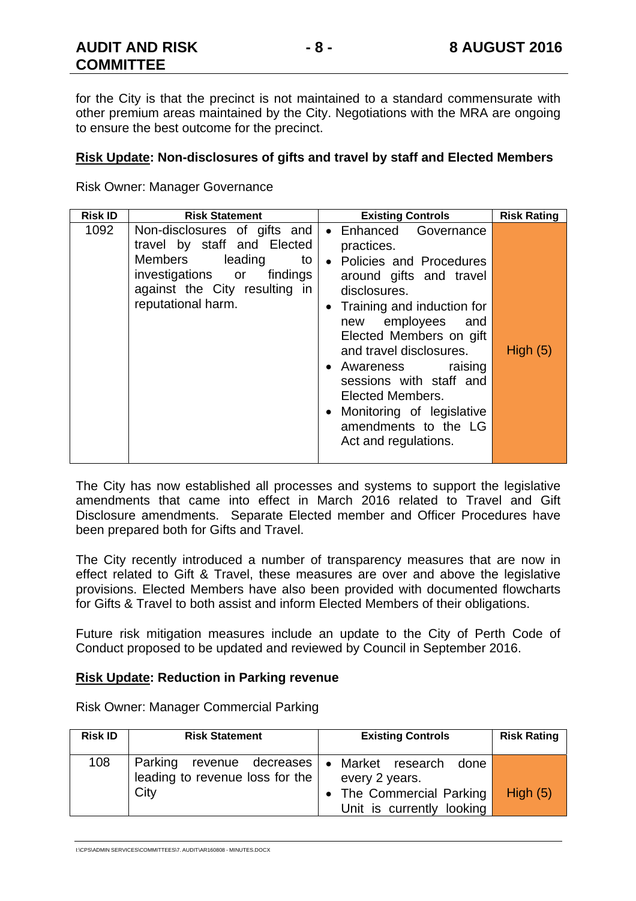for the City is that the precinct is not maintained to a standard commensurate with other premium areas maintained by the City. Negotiations with the MRA are ongoing to ensure the best outcome for the precinct.

#### **Risk Update: Non-disclosures of gifts and travel by staff and Elected Members**

Risk Owner: Manager Governance

| <b>Risk ID</b> | <b>Risk Statement</b>                                                                                                                                                                | <b>Existing Controls</b>                                                                                                                                                                                                                                                                                                                                                    | <b>Risk Rating</b> |
|----------------|--------------------------------------------------------------------------------------------------------------------------------------------------------------------------------------|-----------------------------------------------------------------------------------------------------------------------------------------------------------------------------------------------------------------------------------------------------------------------------------------------------------------------------------------------------------------------------|--------------------|
| 1092           | Non-disclosures of gifts and<br>travel by staff and Elected<br>Members leading<br>$\mathsf{to}$<br>investigations or findings<br>against the City resulting in<br>reputational harm. | • Enhanced Governance<br>practices.<br>• Policies and Procedures<br>around gifts and travel<br>disclosures.<br>• Training and induction for<br>new employees and<br>Elected Members on gift<br>and travel disclosures.<br>• Awareness raising<br>sessions with staff and<br>Elected Members.<br>• Monitoring of legislative<br>amendments to the LG<br>Act and regulations. | High $(5)$         |

The City has now established all processes and systems to support the legislative amendments that came into effect in March 2016 related to Travel and Gift Disclosure amendments. Separate Elected member and Officer Procedures have been prepared both for Gifts and Travel.

The City recently introduced a number of transparency measures that are now in effect related to Gift & Travel, these measures are over and above the legislative provisions. Elected Members have also been provided with documented flowcharts for Gifts & Travel to both assist and inform Elected Members of their obligations.

Future risk mitigation measures include an update to the City of Perth Code of Conduct proposed to be updated and reviewed by Council in September 2016.

#### **Risk Update: Reduction in Parking revenue**

| <b>Risk ID</b> | <b>Risk Statement</b>                                                                    | <b>Existing Controls</b>                                                        | <b>Risk Rating</b> |
|----------------|------------------------------------------------------------------------------------------|---------------------------------------------------------------------------------|--------------------|
| 108            | Parking revenue decreases   • Market research<br>leading to revenue loss for the<br>City | done<br>every 2 years.<br>• The Commercial Parking<br>Unit is currently looking | High $(5)$         |

Risk Owner: Manager Commercial Parking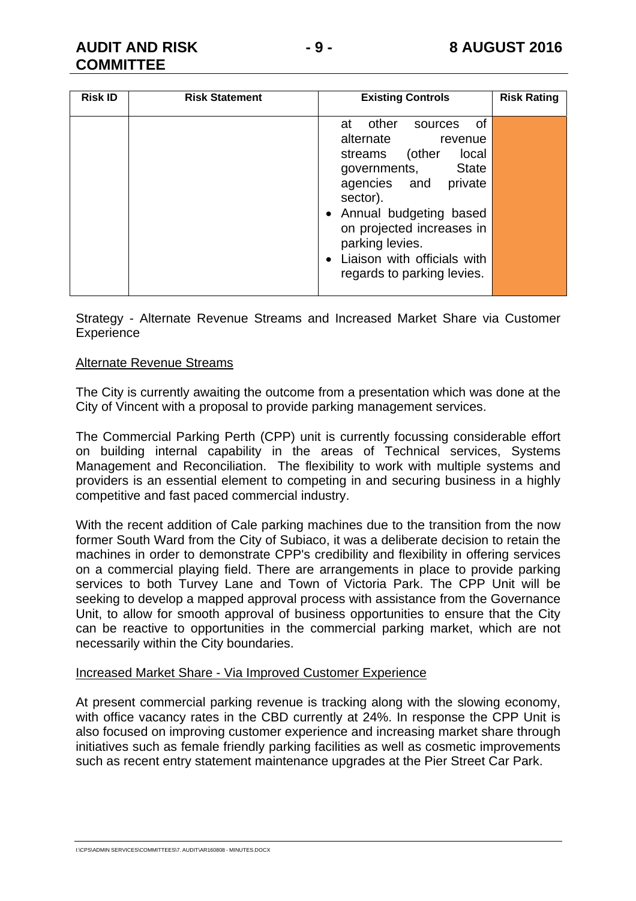#### **AUDIT AND RISK COMMITTEE**

|  | -<br>× |  |
|--|--------|--|
|--|--------|--|

| <b>Risk ID</b> | <b>Risk Statement</b> | <b>Existing Controls</b>                                                                                                                                                                                                                                                                | <b>Risk Rating</b> |
|----------------|-----------------------|-----------------------------------------------------------------------------------------------------------------------------------------------------------------------------------------------------------------------------------------------------------------------------------------|--------------------|
|                |                       | 0f<br>other<br>at<br>sources<br>alternate<br>revenue<br>(other<br>local<br>streams<br>governments, State<br>agencies and private<br>sector).<br>• Annual budgeting based<br>on projected increases in<br>parking levies.<br>• Liaison with officials with<br>regards to parking levies. |                    |

Strategy - Alternate Revenue Streams and Increased Market Share via Customer **Experience** 

#### Alternate Revenue Streams

The City is currently awaiting the outcome from a presentation which was done at the City of Vincent with a proposal to provide parking management services.

The Commercial Parking Perth (CPP) unit is currently focussing considerable effort on building internal capability in the areas of Technical services, Systems Management and Reconciliation. The flexibility to work with multiple systems and providers is an essential element to competing in and securing business in a highly competitive and fast paced commercial industry.

With the recent addition of Cale parking machines due to the transition from the now former South Ward from the City of Subiaco, it was a deliberate decision to retain the machines in order to demonstrate CPP's credibility and flexibility in offering services on a commercial playing field. There are arrangements in place to provide parking services to both Turvey Lane and Town of Victoria Park. The CPP Unit will be seeking to develop a mapped approval process with assistance from the Governance Unit, to allow for smooth approval of business opportunities to ensure that the City can be reactive to opportunities in the commercial parking market, which are not necessarily within the City boundaries.

#### Increased Market Share - Via Improved Customer Experience

At present commercial parking revenue is tracking along with the slowing economy, with office vacancy rates in the CBD currently at 24%. In response the CPP Unit is also focused on improving customer experience and increasing market share through initiatives such as female friendly parking facilities as well as cosmetic improvements such as recent entry statement maintenance upgrades at the Pier Street Car Park.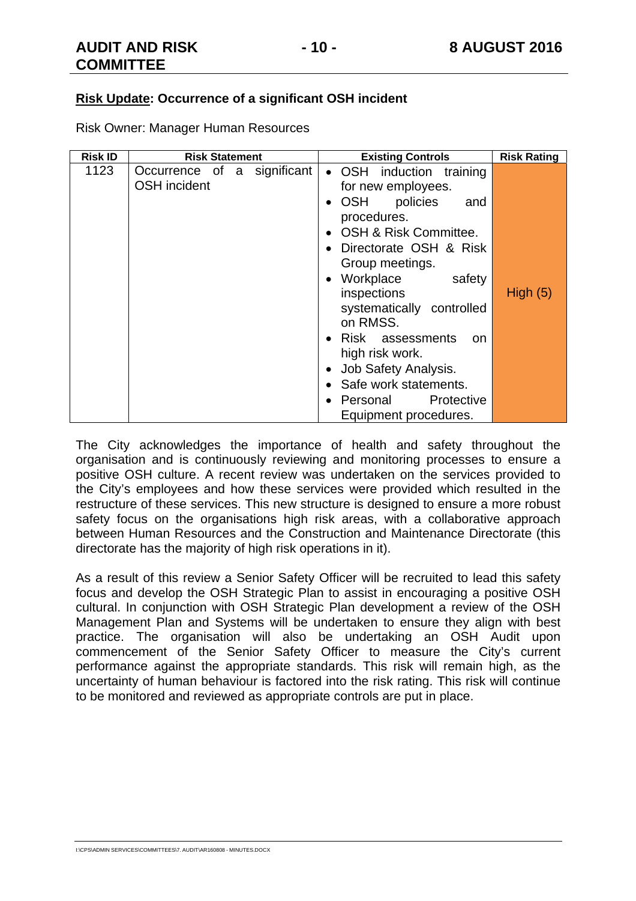#### **Risk Update: Occurrence of a significant OSH incident**

Risk Owner: Manager Human Resources

| <b>Risk ID</b> | <b>Risk Statement</b>                              | <b>Existing Controls</b>                                                                                                                                                                                                                                                                                                                                                                                              | <b>Risk Rating</b> |
|----------------|----------------------------------------------------|-----------------------------------------------------------------------------------------------------------------------------------------------------------------------------------------------------------------------------------------------------------------------------------------------------------------------------------------------------------------------------------------------------------------------|--------------------|
| 1123           | Occurrence of a significant<br><b>OSH</b> incident | • OSH induction training<br>for new employees.<br>OSH<br>policies<br>and<br>procedures.<br>OSH & Risk Committee.<br>Directorate OSH & Risk<br>Group meetings.<br>Workplace<br>safety<br>$\bullet$<br>inspections<br>systematically controlled<br>on RMSS.<br>Risk assessments<br><sub>on</sub><br>high risk work.<br>Job Safety Analysis.<br>Safe work statements.<br>Protective<br>Personal<br>Equipment procedures. | High $(5)$         |

The City acknowledges the importance of health and safety throughout the organisation and is continuously reviewing and monitoring processes to ensure a positive OSH culture. A recent review was undertaken on the services provided to the City's employees and how these services were provided which resulted in the restructure of these services. This new structure is designed to ensure a more robust safety focus on the organisations high risk areas, with a collaborative approach between Human Resources and the Construction and Maintenance Directorate (this directorate has the majority of high risk operations in it).

As a result of this review a Senior Safety Officer will be recruited to lead this safety focus and develop the OSH Strategic Plan to assist in encouraging a positive OSH cultural. In conjunction with OSH Strategic Plan development a review of the OSH Management Plan and Systems will be undertaken to ensure they align with best practice. The organisation will also be undertaking an OSH Audit upon commencement of the Senior Safety Officer to measure the City's current performance against the appropriate standards. This risk will remain high, as the uncertainty of human behaviour is factored into the risk rating. This risk will continue to be monitored and reviewed as appropriate controls are put in place.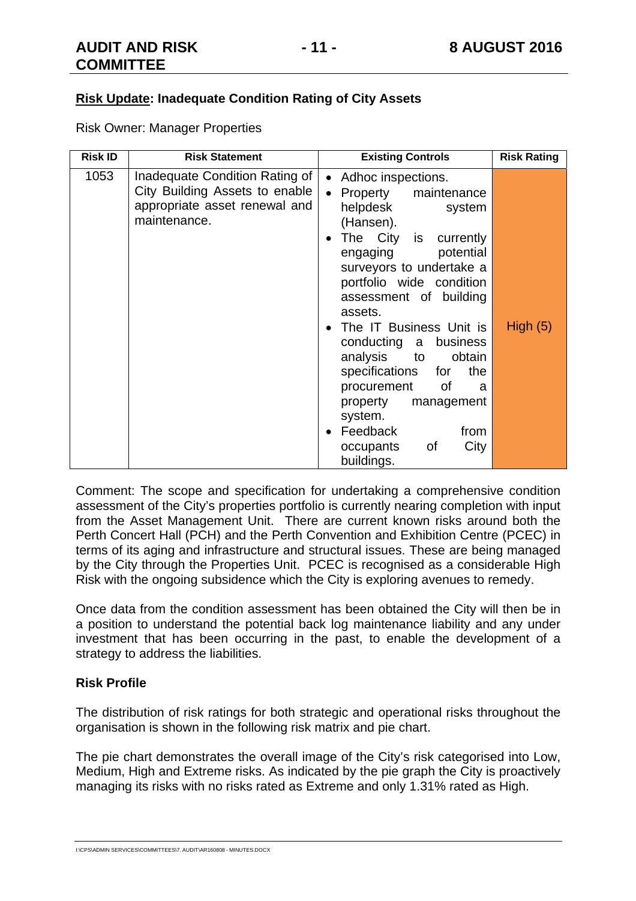Risk Owner: Manager Properties

| <b>Risk ID</b> | <b>Risk Statement</b>                                                                                             | <b>Existing Controls</b>                                                                                                                                                                                                                                                                                                                                                                                                                                                    | <b>Risk Rating</b> |
|----------------|-------------------------------------------------------------------------------------------------------------------|-----------------------------------------------------------------------------------------------------------------------------------------------------------------------------------------------------------------------------------------------------------------------------------------------------------------------------------------------------------------------------------------------------------------------------------------------------------------------------|--------------------|
| 1053           | Inadequate Condition Rating of<br>City Building Assets to enable<br>appropriate asset renewal and<br>maintenance. | Adhoc inspections.<br>$\bullet$<br>Property maintenance<br>helpdesk<br>system<br>(Hansen).<br>The City is currently<br>engaging potential<br>surveyors to undertake a<br>portfolio wide condition<br>assessment of building<br>assets.<br>The IT Business Unit is<br>conducting a business<br>analysis to<br>obtain<br>specifications for<br>the<br>procurement of<br>- a<br>property<br>management<br>system.<br>Feedback<br>from<br>City<br>of<br>occupants<br>buildings. | High $(5)$         |

Comment: The scope and specification for undertaking a comprehensive condition assessment of the City's properties portfolio is currently nearing completion with input from the Asset Management Unit. There are current known risks around both the Perth Concert Hall (PCH) and the Perth Convention and Exhibition Centre (PCEC) in terms of its aging and infrastructure and structural issues. These are being managed by the City through the Properties Unit. PCEC is recognised as a considerable High Risk with the ongoing subsidence which the City is exploring avenues to remedy.

Once data from the condition assessment has been obtained the City will then be in a position to understand the potential back log maintenance liability and any under investment that has been occurring in the past, to enable the development of a strategy to address the liabilities.

#### **Risk Profile**

The distribution of risk ratings for both strategic and operational risks throughout the organisation is shown in the following risk matrix and pie chart.

The pie chart demonstrates the overall image of the City's risk categorised into Low, Medium, High and Extreme risks. As indicated by the pie graph the City is proactively managing its risks with no risks rated as Extreme and only 1.31% rated as High.

I:\CPS\ADMIN SERVICES\COMMITTEES\7. AUDIT\AR160808 - MINUTES.DOCX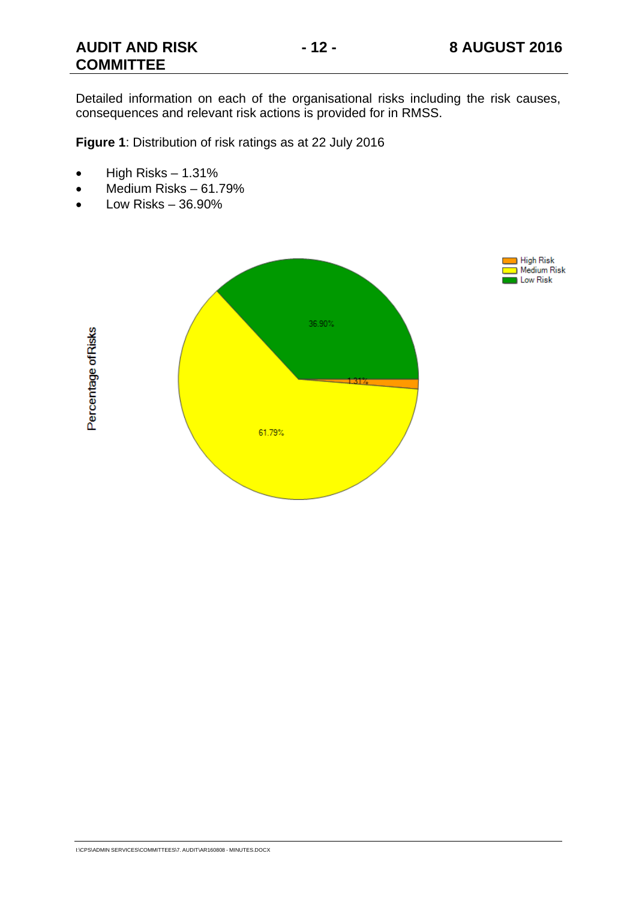#### **AUDIT AND RISK COMMITTEE**

Detailed information on each of the organisational risks including the risk causes, consequences and relevant risk actions is provided for in RMSS.

**Figure 1**: Distribution of risk ratings as at 22 July 2016

- $\bullet$  High Risks 1.31%
- Medium Risks 61.79%
- Low Risks 36.90%



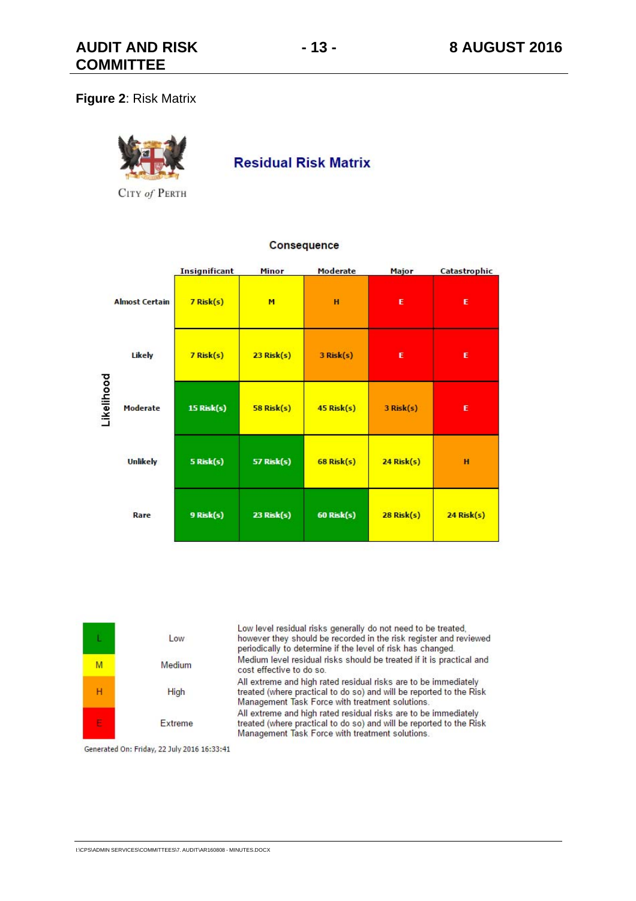#### **Figure 2**: Risk Matrix



**Residual Risk Matrix** 

CITY of PERTH

|            |                       | <b>Insignificant</b> | Minor             | Moderate          | Major           | Catastrophic    |
|------------|-----------------------|----------------------|-------------------|-------------------|-----------------|-----------------|
|            | <b>Almost Certain</b> | $7$ Risk $(s)$       | M                 | H                 | E               | E               |
|            | Likely                | $7$ Risk $(s)$       | $23$ Risk $(s)$   | $3$ Risk $(s)$    | E               | E               |
| Likelihood | Moderate              | <b>15 Risk(s)</b>    | $58$ Risk $(s)$   | $45$ Risk $(s)$   | $3$ Risk $(s)$  | E               |
|            | <b>Unlikely</b>       | 5 Risk(s)            | <b>57 Risk(s)</b> | $68$ Risk $(s)$   | $24$ Risk $(s)$ | H               |
|            | Rare                  | 9 Risk(s)            | 23 Risk(s)        | <b>60 Risk(s)</b> | $28$ Risk $(s)$ | $24$ Risk $(s)$ |

#### Consequence

|    | Low     | Low level residual risks generally do not need to be treated.<br>however they should be recorded in the risk register and reviewed<br>periodically to determine if the level of risk has changed. |
|----|---------|---------------------------------------------------------------------------------------------------------------------------------------------------------------------------------------------------|
| М  | Medium  | Medium level residual risks should be treated if it is practical and<br>cost effective to do so.                                                                                                  |
| н  | High    | All extreme and high rated residual risks are to be immediately<br>treated (where practical to do so) and will be reported to the Risk<br>Management Task Force with treatment solutions.         |
| E. | Extreme | All extreme and high rated residual risks are to be immediately<br>treated (where practical to do so) and will be reported to the Risk<br>Management Task Force with treatment solutions.         |

Generated On: Friday, 22 July 2016 16:33:41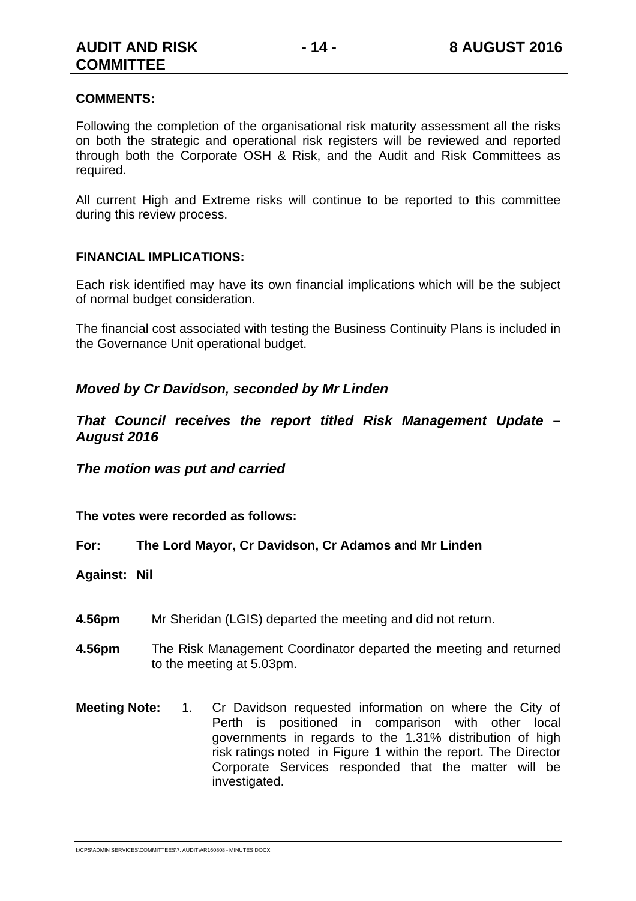#### **COMMENTS:**

Following the completion of the organisational risk maturity assessment all the risks on both the strategic and operational risk registers will be reviewed and reported through both the Corporate OSH & Risk, and the Audit and Risk Committees as required.

All current High and Extreme risks will continue to be reported to this committee during this review process.

#### **FINANCIAL IMPLICATIONS:**

Each risk identified may have its own financial implications which will be the subject of normal budget consideration.

The financial cost associated with testing the Business Continuity Plans is included in the Governance Unit operational budget.

#### *Moved by Cr Davidson, seconded by Mr Linden*

*That Council receives the report titled Risk Management Update – August 2016* 

*The motion was put and carried* 

**The votes were recorded as follows:** 

**For: The Lord Mayor, Cr Davidson, Cr Adamos and Mr Linden** 

**Against: Nil** 

- **4.56pm** Mr Sheridan (LGIS) departed the meeting and did not return.
- **4.56pm** The Risk Management Coordinator departed the meeting and returned to the meeting at 5.03pm.
- **Meeting Note:** 1. Cr Davidson requested information on where the City of Perth is positioned in comparison with other local governments in regards to the 1.31% distribution of high risk ratings noted in Figure 1 within the report. The Director Corporate Services responded that the matter will be investigated.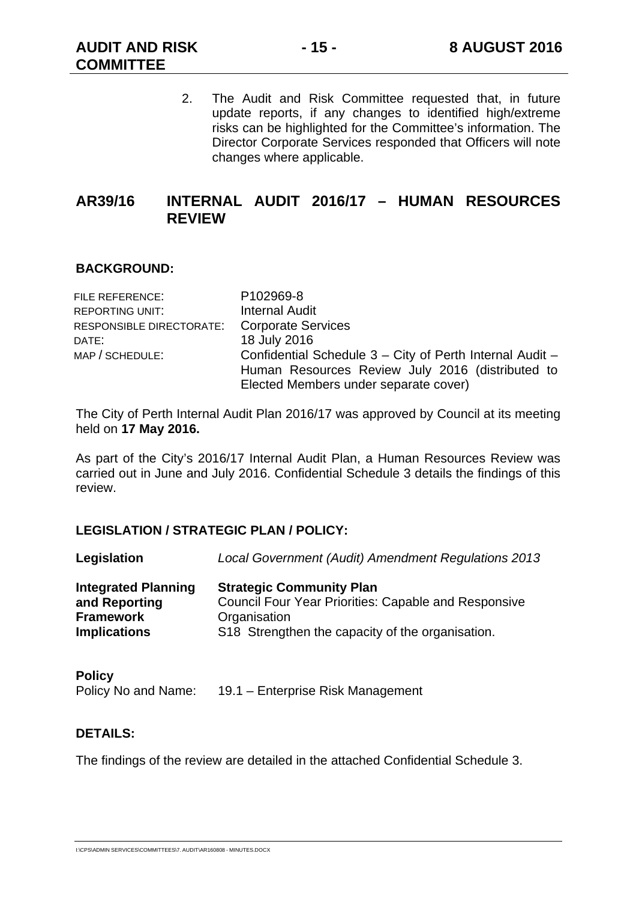2. The Audit and Risk Committee requested that, in future update reports, if any changes to identified high/extreme risks can be highlighted for the Committee's information. The Director Corporate Services responded that Officers will note changes where applicable.

#### **AR39/16 INTERNAL AUDIT 2016/17 – HUMAN RESOURCES REVIEW**

#### **BACKGROUND:**

| P102969-8                                                |
|----------------------------------------------------------|
| <b>Internal Audit</b>                                    |
| <b>Corporate Services</b><br>RESPONSIBLE DIRECTORATE:    |
| 18 July 2016                                             |
| Confidential Schedule 3 - City of Perth Internal Audit - |
| Human Resources Review July 2016 (distributed to         |
| Elected Members under separate cover)                    |
|                                                          |

The City of Perth Internal Audit Plan 2016/17 was approved by Council at its meeting held on **17 May 2016.** 

As part of the City's 2016/17 Internal Audit Plan, a Human Resources Review was carried out in June and July 2016. Confidential Schedule 3 details the findings of this review.

#### **LEGISLATION / STRATEGIC PLAN / POLICY:**

| Legislation                                 | Local Government (Audit) Amendment Regulations 2013                                            |
|---------------------------------------------|------------------------------------------------------------------------------------------------|
| <b>Integrated Planning</b><br>and Reporting | <b>Strategic Community Plan</b><br><b>Council Four Year Priorities: Capable and Responsive</b> |
| <b>Framework</b>                            | Organisation                                                                                   |
| <b>Implications</b>                         | S18 Strengthen the capacity of the organisation.                                               |

| <b>Policy</b>       |                                   |
|---------------------|-----------------------------------|
| Policy No and Name: | 19.1 – Enterprise Risk Management |

#### **DETAILS:**

The findings of the review are detailed in the attached Confidential Schedule 3.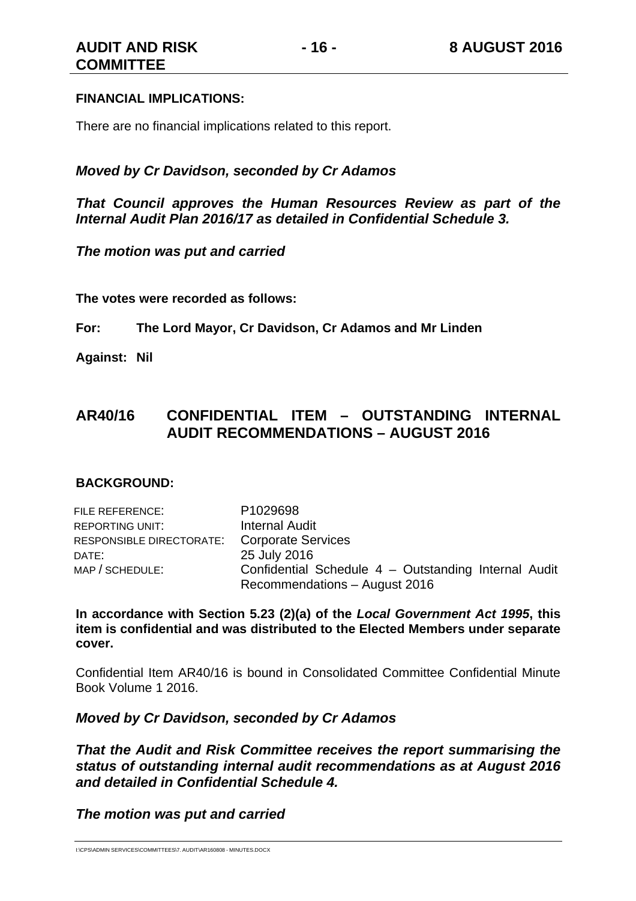#### **FINANCIAL IMPLICATIONS:**

There are no financial implications related to this report.

#### *Moved by Cr Davidson, seconded by Cr Adamos*

*That Council approves the Human Resources Review as part of the Internal Audit Plan 2016/17 as detailed in Confidential Schedule 3.* 

*The motion was put and carried* 

**The votes were recorded as follows:** 

**For: The Lord Mayor, Cr Davidson, Cr Adamos and Mr Linden** 

**Against: Nil** 

#### **AR40/16 CONFIDENTIAL ITEM – OUTSTANDING INTERNAL AUDIT RECOMMENDATIONS – AUGUST 2016**

#### **BACKGROUND:**

| FILE REFERENCE:                             | P <sub>1029698</sub>                                 |
|---------------------------------------------|------------------------------------------------------|
| <b>REPORTING UNIT:</b>                      | <b>Internal Audit</b>                                |
| RESPONSIBLE DIRECTORATE: Corporate Services |                                                      |
| DATE:                                       | 25 July 2016                                         |
| MAP / SCHEDULE:                             | Confidential Schedule 4 - Outstanding Internal Audit |
|                                             | Recommendations - August 2016                        |

**In accordance with Section 5.23 (2)(a) of the** *Local Government Act 1995***, this item is confidential and was distributed to the Elected Members under separate cover.** 

Confidential Item AR40/16 is bound in Consolidated Committee Confidential Minute Book Volume 1 2016.

#### *Moved by Cr Davidson, seconded by Cr Adamos*

*That the Audit and Risk Committee receives the report summarising the status of outstanding internal audit recommendations as at August 2016 and detailed in Confidential Schedule 4.* 

#### *The motion was put and carried*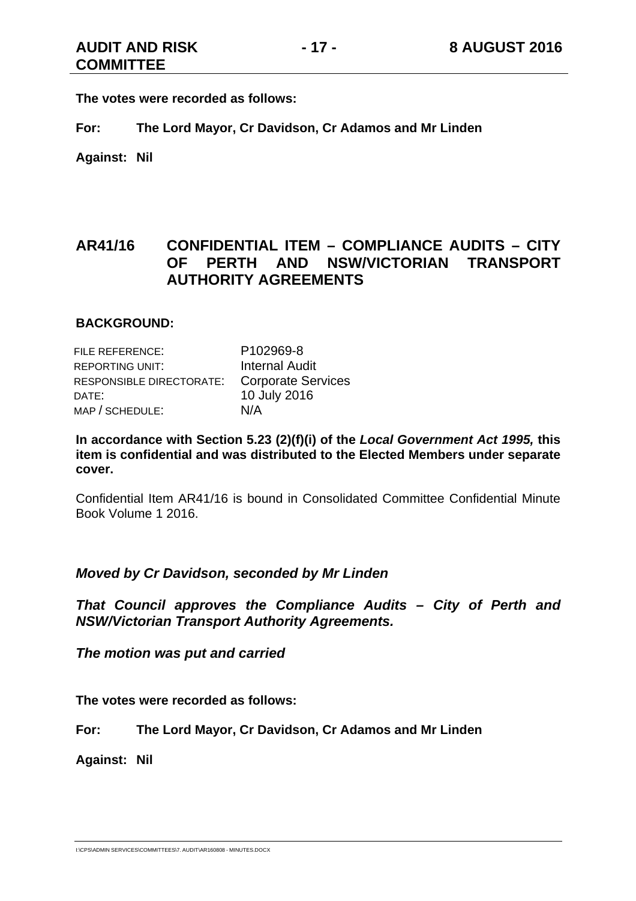**The votes were recorded as follows:** 

**For: The Lord Mayor, Cr Davidson, Cr Adamos and Mr Linden** 

**Against: Nil** 

#### **AR41/16 CONFIDENTIAL ITEM – COMPLIANCE AUDITS – CITY OF PERTH AND NSW/VICTORIAN TRANSPORT AUTHORITY AGREEMENTS**

#### **BACKGROUND:**

| FILE REFERENCE:          | P <sub>102969-8</sub>     |
|--------------------------|---------------------------|
| <b>REPORTING UNIT:</b>   | <b>Internal Audit</b>     |
| RESPONSIBLE DIRECTORATE: | <b>Corporate Services</b> |
| DATE:                    | 10 July 2016              |
| MAP / SCHEDULE:          | N/A                       |

**In accordance with Section 5.23 (2)(f)(i) of the** *Local Government Act 1995,* **this item is confidential and was distributed to the Elected Members under separate cover.**

Confidential Item AR41/16 is bound in Consolidated Committee Confidential Minute Book Volume 1 2016.

#### *Moved by Cr Davidson, seconded by Mr Linden*

*That Council approves the Compliance Audits – City of Perth and NSW/Victorian Transport Authority Agreements.* 

*The motion was put and carried* 

**The votes were recorded as follows:** 

**For: The Lord Mayor, Cr Davidson, Cr Adamos and Mr Linden** 

**Against: Nil**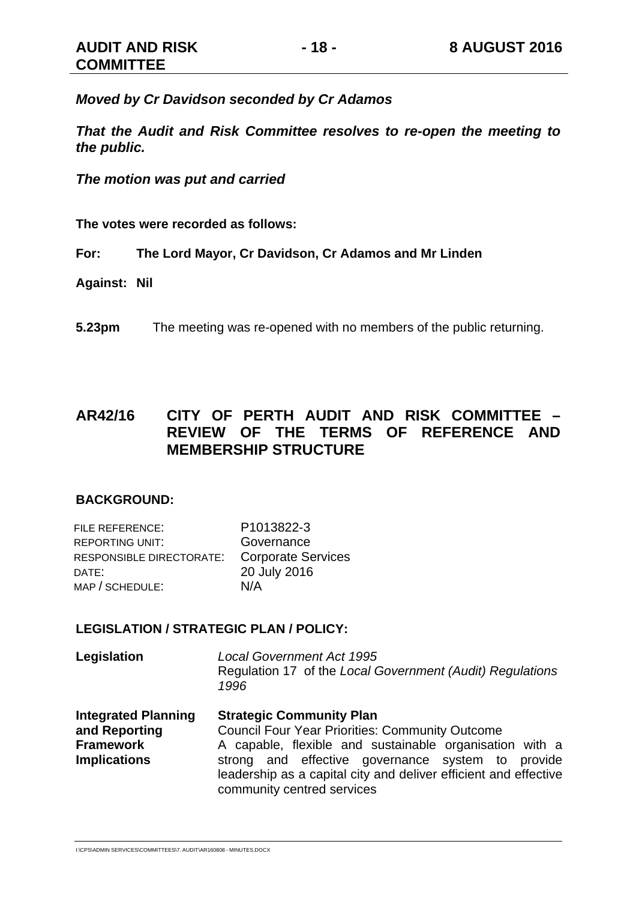*Moved by Cr Davidson seconded by Cr Adamos* 

*That the Audit and Risk Committee resolves to re-open the meeting to the public.* 

*The motion was put and carried* 

**The votes were recorded as follows:** 

**For: The Lord Mayor, Cr Davidson, Cr Adamos and Mr Linden** 

**Against: Nil** 

**5.23pm** The meeting was re-opened with no members of the public returning.

#### **AR42/16 CITY OF PERTH AUDIT AND RISK COMMITTEE – REVIEW OF THE TERMS OF REFERENCE AND MEMBERSHIP STRUCTURE**

#### **BACKGROUND:**

| <b>FILE REFERENCE:</b>   | P1013822-3                |
|--------------------------|---------------------------|
| <b>REPORTING UNIT:</b>   | Governance                |
| RESPONSIBLE DIRECTORATE: | <b>Corporate Services</b> |
| DATE:                    | 20 July 2016              |
| MAP / SCHEDULE:          | N/A                       |

#### **LEGISLATION / STRATEGIC PLAN / POLICY:**

| <b>Integrated Planning</b> | <b>Strategic Community Plan</b>                                                                       |
|----------------------------|-------------------------------------------------------------------------------------------------------|
| Legislation                | <b>Local Government Act 1995</b><br>Regulation 17 of the Local Government (Audit) Regulations<br>1996 |

**and Reporting Framework Implications**  Council Four Year Priorities: Community Outcome A capable, flexible and sustainable organisation with a strong and effective governance system to provide leadership as a capital city and deliver efficient and effective community centred services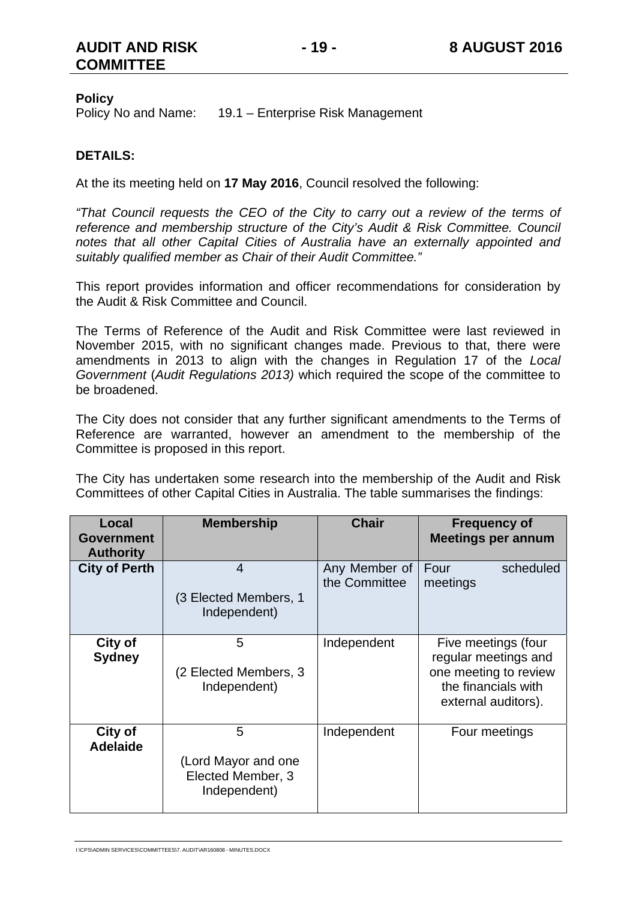#### **AUDIT AND RISK COMMITTEE**

#### **Policy**

Policy No and Name: 19.1 – Enterprise Risk Management

#### **DETAILS:**

At the its meeting held on **17 May 2016**, Council resolved the following:

*"That Council requests the CEO of the City to carry out a review of the terms of reference and membership structure of the City's Audit & Risk Committee. Council notes that all other Capital Cities of Australia have an externally appointed and suitably qualified member as Chair of their Audit Committee."* 

This report provides information and officer recommendations for consideration by the Audit & Risk Committee and Council.

The Terms of Reference of the Audit and Risk Committee were last reviewed in November 2015, with no significant changes made. Previous to that, there were amendments in 2013 to align with the changes in Regulation 17 of the *Local Government* (*Audit Regulations 2013)* which required the scope of the committee to be broadened.

The City does not consider that any further significant amendments to the Terms of Reference are warranted, however an amendment to the membership of the Committee is proposed in this report.

The City has undertaken some research into the membership of the Audit and Risk Committees of other Capital Cities in Australia. The table summarises the findings:

| Local<br><b>Government</b><br><b>Authority</b> | <b>Membership</b>                                             | <b>Chair</b>                   | <b>Frequency of</b><br><b>Meetings per annum</b>                                                                   |
|------------------------------------------------|---------------------------------------------------------------|--------------------------------|--------------------------------------------------------------------------------------------------------------------|
| <b>City of Perth</b>                           | 4<br>(3 Elected Members, 1<br>Independent)                    | Any Member of<br>the Committee | Four<br>scheduled<br>meetings                                                                                      |
| City of<br><b>Sydney</b>                       | 5<br>(2 Elected Members, 3<br>Independent)                    | Independent                    | Five meetings (four<br>regular meetings and<br>one meeting to review<br>the financials with<br>external auditors). |
| City of<br><b>Adelaide</b>                     | 5<br>(Lord Mayor and one<br>Elected Member, 3<br>Independent) | Independent                    | Four meetings                                                                                                      |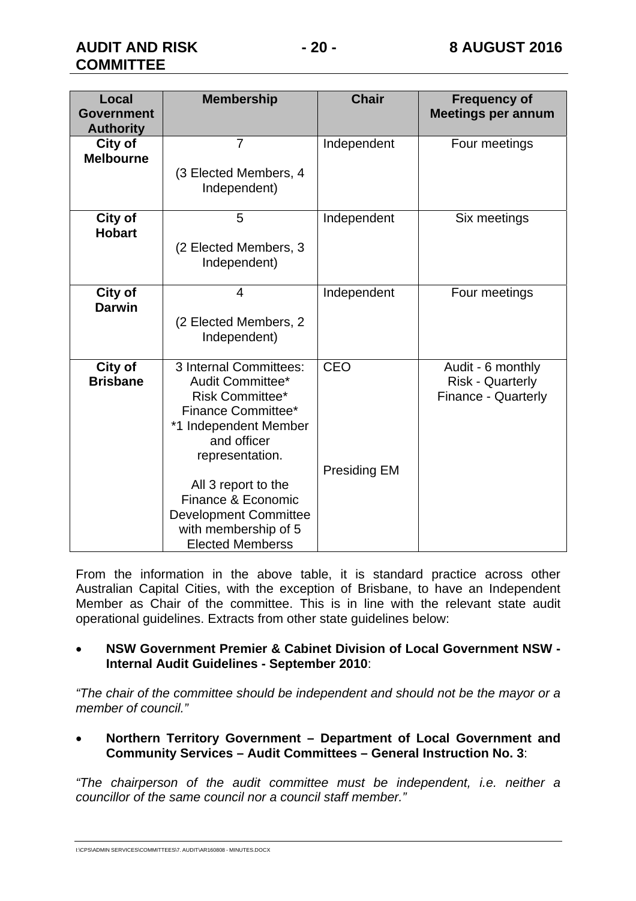| Local<br><b>Government</b><br><b>Authority</b> | <b>Membership</b>                                                                                                                                                                                                                                                                     | <b>Chair</b>                      | <b>Frequency of</b><br><b>Meetings per annum</b>                           |
|------------------------------------------------|---------------------------------------------------------------------------------------------------------------------------------------------------------------------------------------------------------------------------------------------------------------------------------------|-----------------------------------|----------------------------------------------------------------------------|
| City of<br><b>Melbourne</b>                    | $\overline{7}$<br>(3 Elected Members, 4<br>Independent)                                                                                                                                                                                                                               | Independent                       | Four meetings                                                              |
| City of<br><b>Hobart</b>                       | 5<br>(2 Elected Members, 3<br>Independent)                                                                                                                                                                                                                                            | Independent                       | Six meetings                                                               |
| City of<br><b>Darwin</b>                       | $\overline{\mathcal{L}}$<br>(2 Elected Members, 2<br>Independent)                                                                                                                                                                                                                     | Independent                       | Four meetings                                                              |
| City of<br><b>Brisbane</b>                     | 3 Internal Committees:<br>Audit Committee*<br><b>Risk Committee*</b><br>Finance Committee*<br>*1 Independent Member<br>and officer<br>representation.<br>All 3 report to the<br>Finance & Economic<br><b>Development Committee</b><br>with membership of 5<br><b>Elected Memberss</b> | <b>CEO</b><br><b>Presiding EM</b> | Audit - 6 monthly<br><b>Risk - Quarterly</b><br><b>Finance - Quarterly</b> |

From the information in the above table, it is standard practice across other Australian Capital Cities, with the exception of Brisbane, to have an Independent Member as Chair of the committee. This is in line with the relevant state audit operational guidelines. Extracts from other state guidelines below:

#### **NSW Government Premier & Cabinet Division of Local Government NSW - Internal Audit Guidelines - September 2010**:

*"The chair of the committee should be independent and should not be the mayor or a member of council."* 

 **Northern Territory Government – Department of Local Government and Community Services – Audit Committees – General Instruction No. 3**:

*"The chairperson of the audit committee must be independent, i.e. neither a councillor of the same council nor a council staff member."*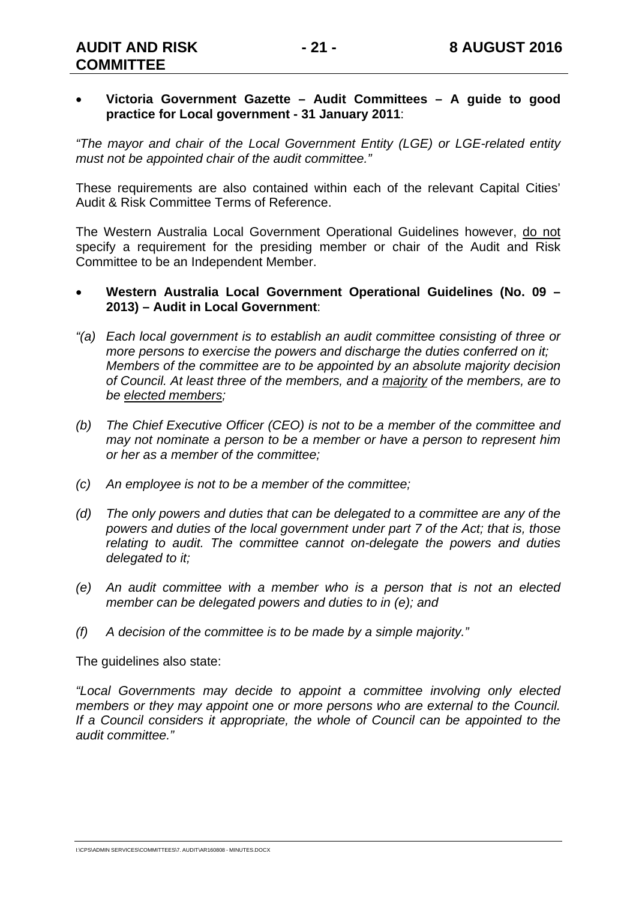#### **Victoria Government Gazette – Audit Committees – A guide to good practice for Local government - 31 January 2011**:

*"The mayor and chair of the Local Government Entity (LGE) or LGE-related entity must not be appointed chair of the audit committee."* 

These requirements are also contained within each of the relevant Capital Cities' Audit & Risk Committee Terms of Reference.

The Western Australia Local Government Operational Guidelines however, do not specify a requirement for the presiding member or chair of the Audit and Risk Committee to be an Independent Member.

#### **Western Australia Local Government Operational Guidelines (No. 09 – 2013) – Audit in Local Government**:

- *"(a) Each local government is to establish an audit committee consisting of three or more persons to exercise the powers and discharge the duties conferred on it; Members of the committee are to be appointed by an absolute majority decision of Council. At least three of the members, and a majority of the members, are to be elected members;*
- *(b) The Chief Executive Officer (CEO) is not to be a member of the committee and may not nominate a person to be a member or have a person to represent him or her as a member of the committee;*
- *(c) An employee is not to be a member of the committee;*
- *(d) The only powers and duties that can be delegated to a committee are any of the powers and duties of the local government under part 7 of the Act; that is, those relating to audit. The committee cannot on-delegate the powers and duties delegated to it;*
- *(e) An audit committee with a member who is a person that is not an elected member can be delegated powers and duties to in (e); and*
- *(f) A decision of the committee is to be made by a simple majority."*

The guidelines also state:

*"Local Governments may decide to appoint a committee involving only elected members or they may appoint one or more persons who are external to the Council. If a Council considers it appropriate, the whole of Council can be appointed to the audit committee."* 

I:\CPS\ADMIN SERVICES\COMMITTEES\7. AUDIT\AR160808 - MINUTES.DOCX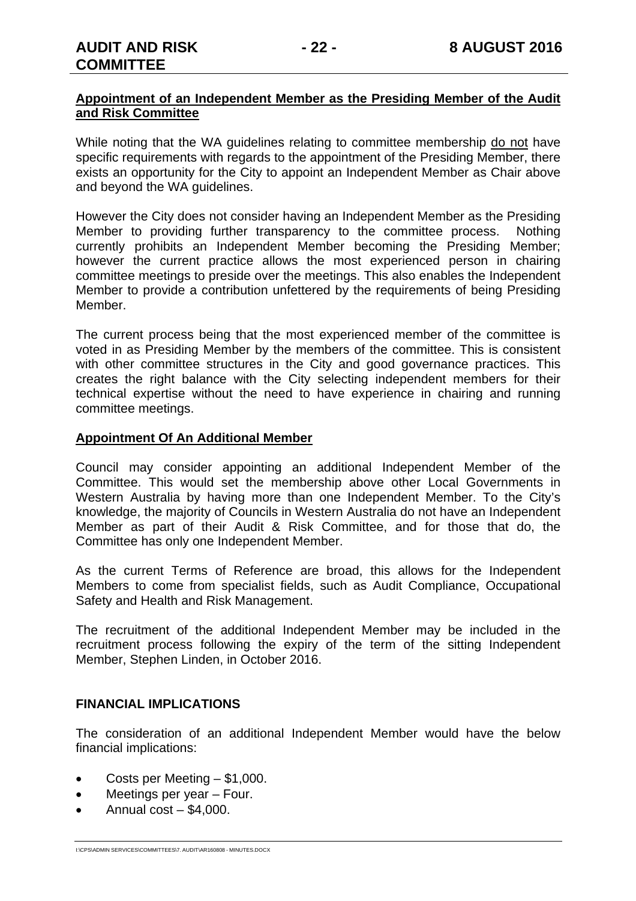#### **Appointment of an Independent Member as the Presiding Member of the Audit and Risk Committee**

While noting that the WA guidelines relating to committee membership do not have specific requirements with regards to the appointment of the Presiding Member, there exists an opportunity for the City to appoint an Independent Member as Chair above and beyond the WA guidelines.

However the City does not consider having an Independent Member as the Presiding Member to providing further transparency to the committee process. Nothing currently prohibits an Independent Member becoming the Presiding Member; however the current practice allows the most experienced person in chairing committee meetings to preside over the meetings. This also enables the Independent Member to provide a contribution unfettered by the requirements of being Presiding Member.

The current process being that the most experienced member of the committee is voted in as Presiding Member by the members of the committee. This is consistent with other committee structures in the City and good governance practices. This creates the right balance with the City selecting independent members for their technical expertise without the need to have experience in chairing and running committee meetings.

#### **Appointment Of An Additional Member**

Council may consider appointing an additional Independent Member of the Committee. This would set the membership above other Local Governments in Western Australia by having more than one Independent Member. To the City's knowledge, the majority of Councils in Western Australia do not have an Independent Member as part of their Audit & Risk Committee, and for those that do, the Committee has only one Independent Member.

As the current Terms of Reference are broad, this allows for the Independent Members to come from specialist fields, such as Audit Compliance, Occupational Safety and Health and Risk Management.

The recruitment of the additional Independent Member may be included in the recruitment process following the expiry of the term of the sitting Independent Member, Stephen Linden, in October 2016.

#### **FINANCIAL IMPLICATIONS**

The consideration of an additional Independent Member would have the below financial implications:

- Costs per Meeting \$1,000.
- Meetings per year Four.
- $\bullet$  Annual cost \$4,000.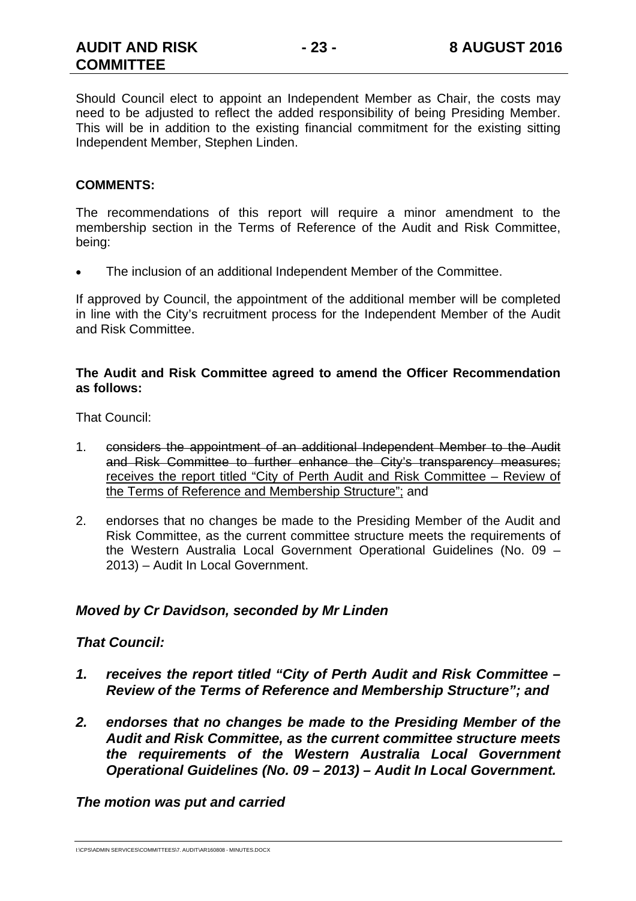Should Council elect to appoint an Independent Member as Chair, the costs may need to be adjusted to reflect the added responsibility of being Presiding Member. This will be in addition to the existing financial commitment for the existing sitting Independent Member, Stephen Linden.

#### **COMMENTS:**

The recommendations of this report will require a minor amendment to the membership section in the Terms of Reference of the Audit and Risk Committee, being:

The inclusion of an additional Independent Member of the Committee.

If approved by Council, the appointment of the additional member will be completed in line with the City's recruitment process for the Independent Member of the Audit and Risk Committee.

#### **The Audit and Risk Committee agreed to amend the Officer Recommendation as follows:**

That Council:

- 1. considers the appointment of an additional Independent Member to the Audit and Risk Committee to further enhance the City's transparency measures; receives the report titled "City of Perth Audit and Risk Committee – Review of the Terms of Reference and Membership Structure"; and
- 2. endorses that no changes be made to the Presiding Member of the Audit and Risk Committee, as the current committee structure meets the requirements of the Western Australia Local Government Operational Guidelines (No. 09 – 2013) – Audit In Local Government.

#### *Moved by Cr Davidson, seconded by Mr Linden*

#### *That Council:*

- *1. receives the report titled "City of Perth Audit and Risk Committee Review of the Terms of Reference and Membership Structure"; and*
- *2. endorses that no changes be made to the Presiding Member of the Audit and Risk Committee, as the current committee structure meets the requirements of the Western Australia Local Government Operational Guidelines (No. 09 – 2013) – Audit In Local Government.*

#### *The motion was put and carried*

I:\CPS\ADMIN SERVICES\COMMITTEES\7. AUDIT\AR160808 - MINUTES.DOCX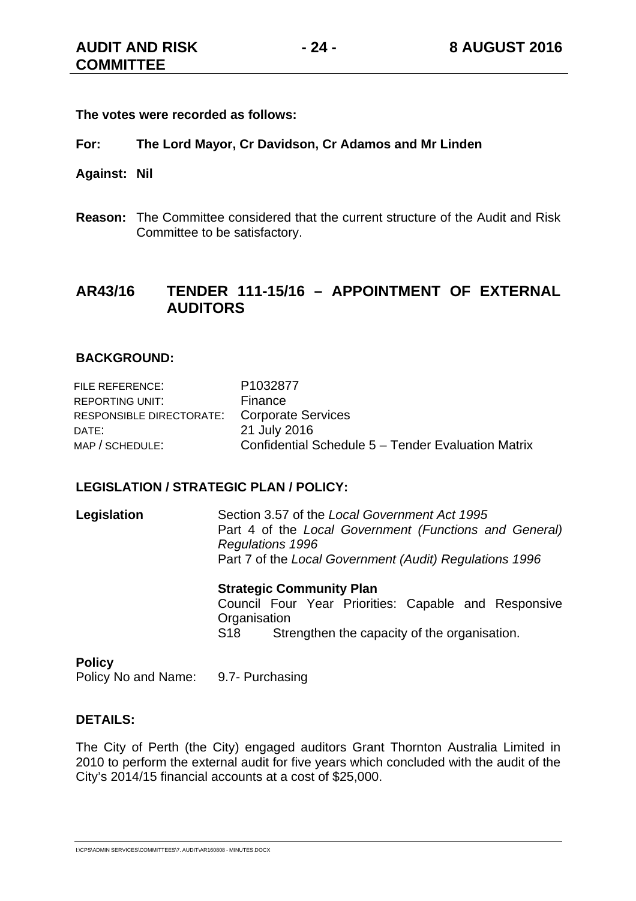**The votes were recorded as follows:** 

- **For: The Lord Mayor, Cr Davidson, Cr Adamos and Mr Linden**
- **Against: Nil**
- **Reason:** The Committee considered that the current structure of the Audit and Risk Committee to be satisfactory.

#### **AR43/16 TENDER 111-15/16 – APPOINTMENT OF EXTERNAL AUDITORS**

#### **BACKGROUND:**

| FILE REFERENCE:          | P1032877                                           |
|--------------------------|----------------------------------------------------|
| REPORTING UNIT:          | Finance                                            |
| RESPONSIBLE DIRECTORATE: | <b>Corporate Services</b>                          |
| DATE:                    | 21 July 2016                                       |
| MAP / SCHEDULE:          | Confidential Schedule 5 – Tender Evaluation Matrix |

#### **LEGISLATION / STRATEGIC PLAN / POLICY:**

| Legislation | Section 3.57 of the Local Government Act 1995           |  |  |
|-------------|---------------------------------------------------------|--|--|
|             | Part 4 of the Local Government (Functions and General)  |  |  |
|             | <b>Regulations 1996</b>                                 |  |  |
|             | Part 7 of the Local Government (Audit) Regulations 1996 |  |  |
|             |                                                         |  |  |

 **Strategic Community Plan** Council Four Year Priorities: Capable and Responsive **Organisation** S18 Strengthen the capacity of the organisation.

#### **Policy**

Policy No and Name: 9.7- Purchasing

#### **DETAILS:**

The City of Perth (the City) engaged auditors Grant Thornton Australia Limited in 2010 to perform the external audit for five years which concluded with the audit of the City's 2014/15 financial accounts at a cost of \$25,000.

I:\CPS\ADMIN SERVICES\COMMITTEES\7. AUDIT\AR160808 - MINUTES.DOCX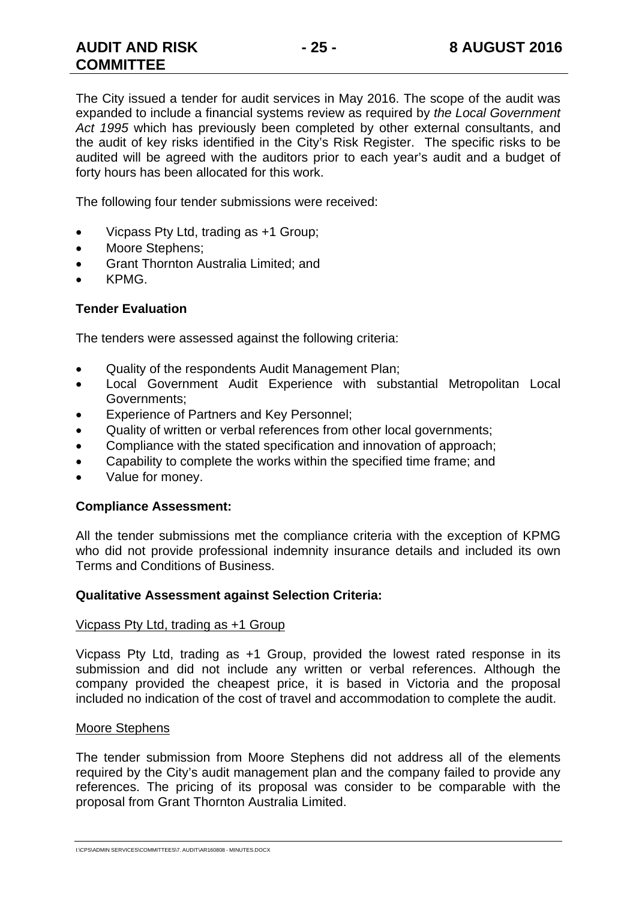The City issued a tender for audit services in May 2016. The scope of the audit was expanded to include a financial systems review as required by *the Local Government Act 1995* which has previously been completed by other external consultants, and the audit of key risks identified in the City's Risk Register. The specific risks to be audited will be agreed with the auditors prior to each year's audit and a budget of forty hours has been allocated for this work.

The following four tender submissions were received:

- Vicpass Pty Ltd, trading as +1 Group;
- Moore Stephens:
- **•** Grant Thornton Australia Limited; and
- KPMG.

#### **Tender Evaluation**

The tenders were assessed against the following criteria:

- Quality of the respondents Audit Management Plan;
- Local Government Audit Experience with substantial Metropolitan Local Governments;
- Experience of Partners and Key Personnel;
- Quality of written or verbal references from other local governments;
- Compliance with the stated specification and innovation of approach;
- Capability to complete the works within the specified time frame; and
- Value for money.

#### **Compliance Assessment:**

All the tender submissions met the compliance criteria with the exception of KPMG who did not provide professional indemnity insurance details and included its own Terms and Conditions of Business.

#### **Qualitative Assessment against Selection Criteria:**

#### Vicpass Pty Ltd, trading as +1 Group

Vicpass Pty Ltd, trading as +1 Group, provided the lowest rated response in its submission and did not include any written or verbal references. Although the company provided the cheapest price, it is based in Victoria and the proposal included no indication of the cost of travel and accommodation to complete the audit.

#### Moore Stephens

The tender submission from Moore Stephens did not address all of the elements required by the City's audit management plan and the company failed to provide any references. The pricing of its proposal was consider to be comparable with the proposal from Grant Thornton Australia Limited.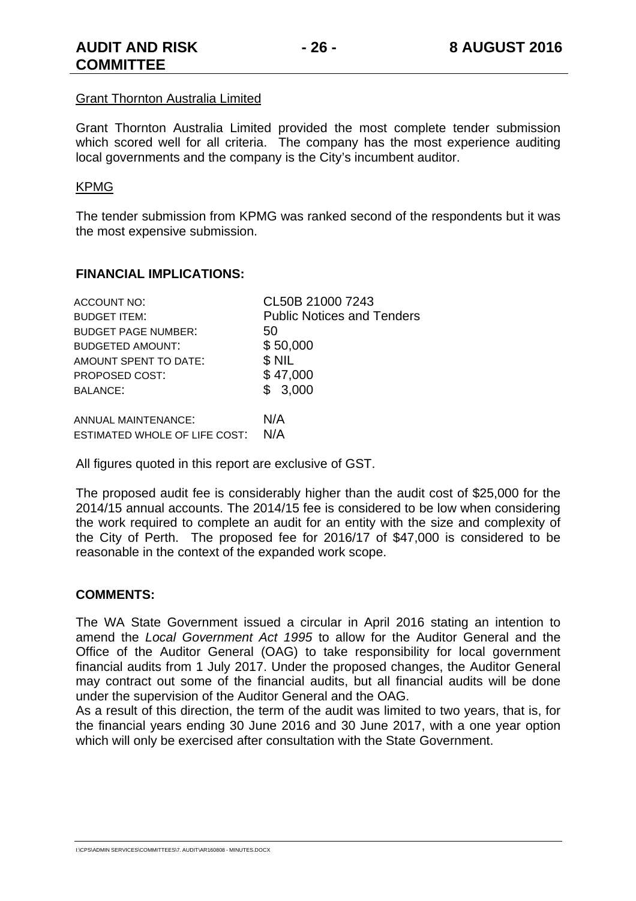#### Grant Thornton Australia Limited

Grant Thornton Australia Limited provided the most complete tender submission which scored well for all criteria. The company has the most experience auditing local governments and the company is the City's incumbent auditor.

#### KPMG

The tender submission from KPMG was ranked second of the respondents but it was the most expensive submission.

#### **FINANCIAL IMPLICATIONS:**

| ACCOUNT NO:                   | CL50B 21000 7243                  |
|-------------------------------|-----------------------------------|
| <b>BUDGET ITEM:</b>           | <b>Public Notices and Tenders</b> |
| <b>BUDGET PAGE NUMBER:</b>    | 50                                |
| <b>BUDGETED AMOUNT:</b>       | \$50,000                          |
| AMOUNT SPENT TO DATE:         | \$NIL                             |
| PROPOSED COST:                | \$47,000                          |
| <b>BALANCE:</b>               | \$3,000                           |
| ANNUAL MAINTENANCE:           | N/A                               |
| ESTIMATED WHOLE OF LIFE COST: | N/A                               |

All figures quoted in this report are exclusive of GST.

The proposed audit fee is considerably higher than the audit cost of \$25,000 for the 2014/15 annual accounts. The 2014/15 fee is considered to be low when considering the work required to complete an audit for an entity with the size and complexity of the City of Perth. The proposed fee for 2016/17 of \$47,000 is considered to be reasonable in the context of the expanded work scope.

#### **COMMENTS:**

The WA State Government issued a circular in April 2016 stating an intention to amend the *Local Government Act 1995* to allow for the Auditor General and the Office of the Auditor General (OAG) to take responsibility for local government financial audits from 1 July 2017. Under the proposed changes, the Auditor General may contract out some of the financial audits, but all financial audits will be done under the supervision of the Auditor General and the OAG.

As a result of this direction, the term of the audit was limited to two years, that is, for the financial years ending 30 June 2016 and 30 June 2017, with a one year option which will only be exercised after consultation with the State Government.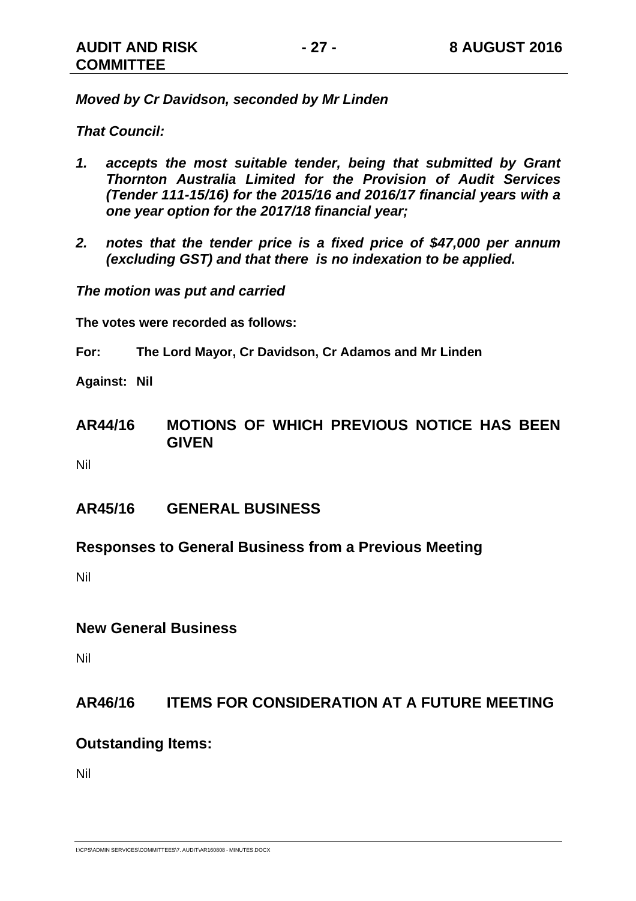*Moved by Cr Davidson, seconded by Mr Linden* 

*That Council:* 

- *1. accepts the most suitable tender, being that submitted by Grant Thornton Australia Limited for the Provision of Audit Services (Tender 111-15/16) for the 2015/16 and 2016/17 financial years with a one year option for the 2017/18 financial year;*
- *2. notes that the tender price is a fixed price of \$47,000 per annum (excluding GST) and that there is no indexation to be applied.*

*The motion was put and carried* 

**The votes were recorded as follows:** 

**For: The Lord Mayor, Cr Davidson, Cr Adamos and Mr Linden** 

**Against: Nil** 

**AR44/16 MOTIONS OF WHICH PREVIOUS NOTICE HAS BEEN GIVEN** 

Nil

- **AR45/16 GENERAL BUSINESS**
- **Responses to General Business from a Previous Meeting**

Nil

#### **New General Business**

Nil

#### **AR46/16 ITEMS FOR CONSIDERATION AT A FUTURE MEETING**

#### **Outstanding Items:**

Nil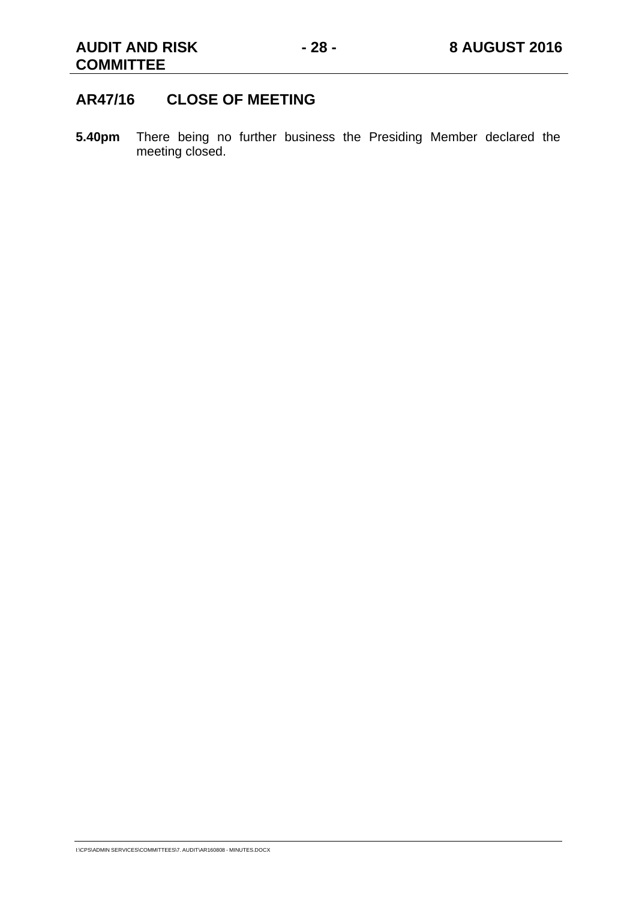#### **AR47/16 CLOSE OF MEETING**

**5.40pm** There being no further business the Presiding Member declared the meeting closed.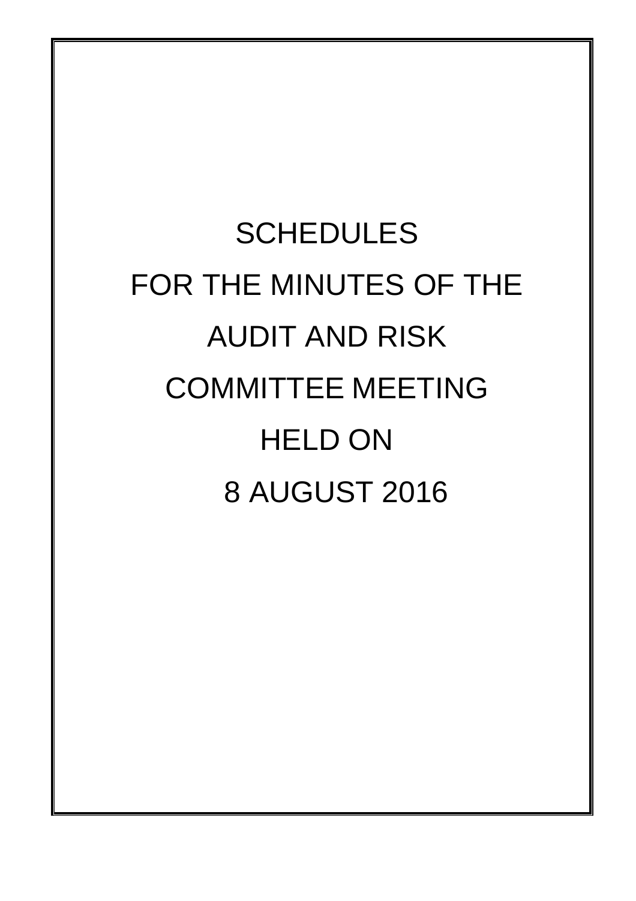# **SCHEDULES** FOR THE MINUTES OF THE AUDIT AND RISK COMMITTEE MEETING HELD ON 8 AUGUST 2016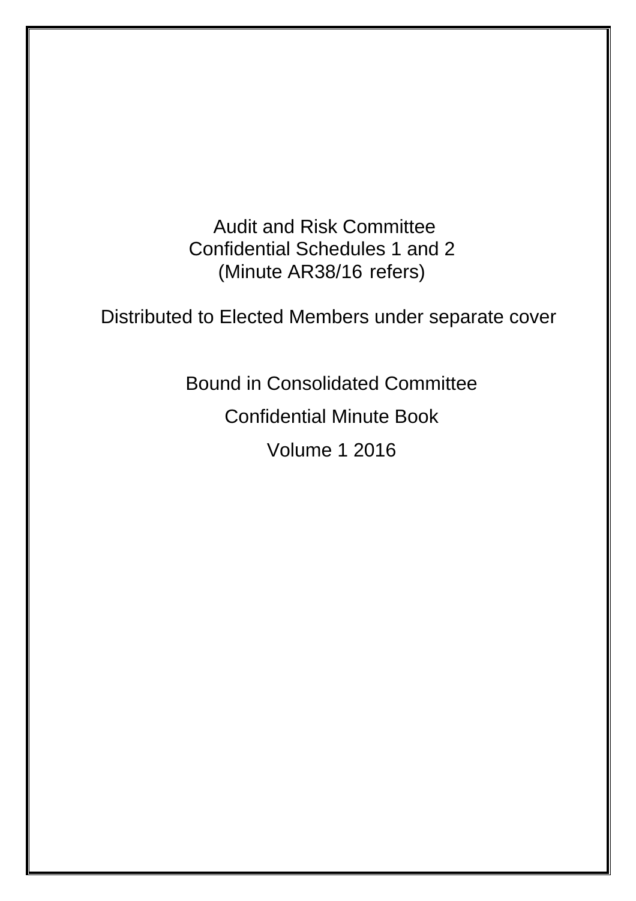Audit and Risk Committee Confidential Schedules 1 and 2 (Minute AR38/16 refers)

Distributed to Elected Members under separate cover

Bound in Consolidated Committee Confidential Minute Book Volume 1 2016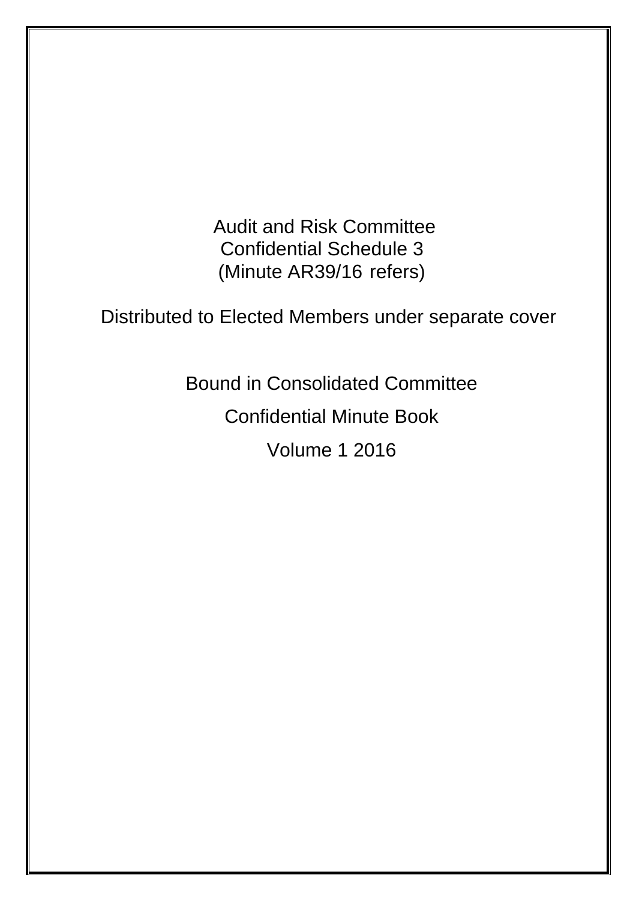Audit and Risk Committee Confidential Schedule 3 (Minute AR39/16 refers)

Distributed to Elected Members under separate cover

Bound in Consolidated Committee Confidential Minute Book Volume 1 2016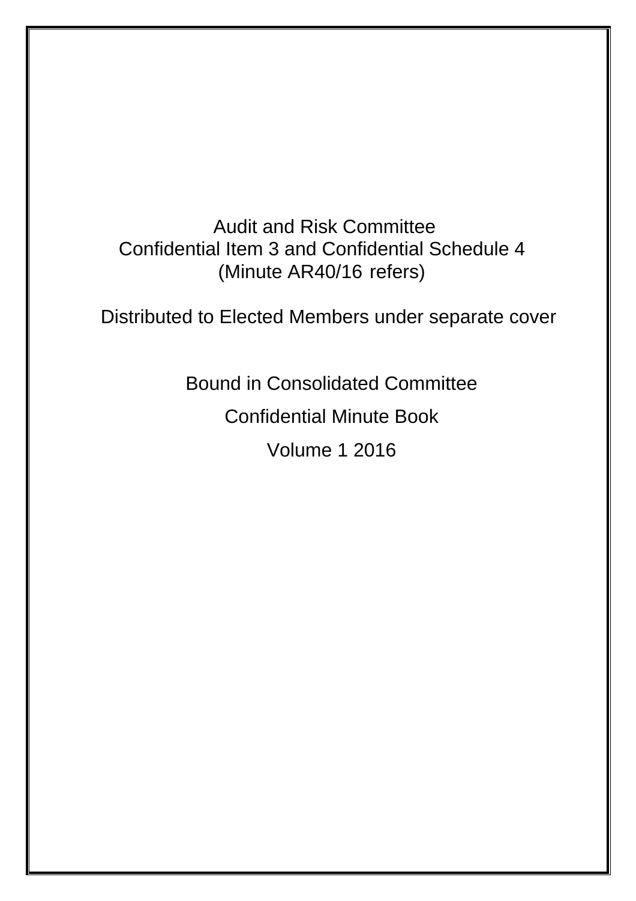Audit and Risk Committee Confidential Item 3 and Confidential Schedule 4 (Minute AR40/16 refers)

Distributed to Elected Members under separate cover

Bound in Consolidated Committee

Confidential Minute Book

Volume 1 2016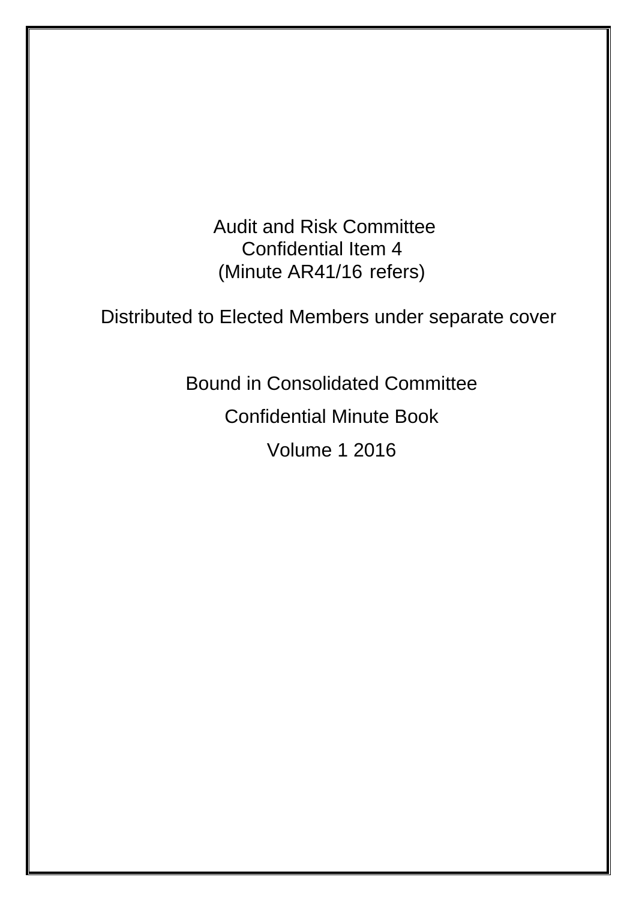Audit and Risk Committee Confidential Item 4 (Minute AR41/16 refers)

Distributed to Elected Members under separate cover

Bound in Consolidated Committee Confidential Minute Book Volume 1 2016